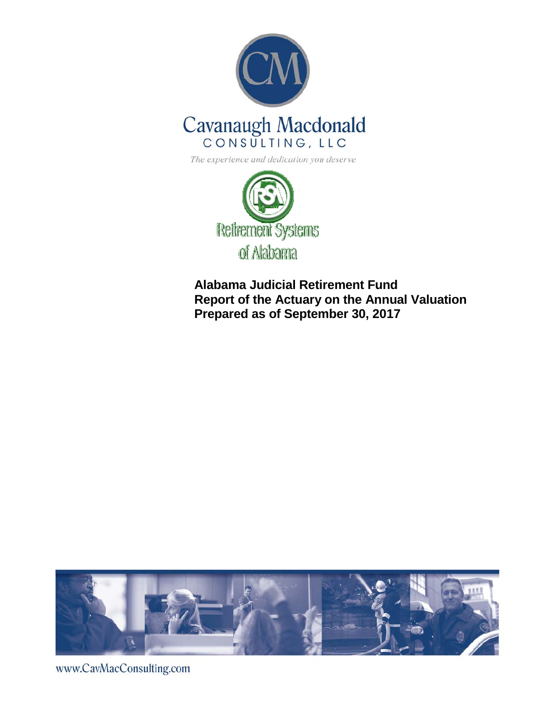



**Alabama Judicial Retirement Fund Report of the Actuary on the Annual Valuation Prepared as of September 30, 2017**



www.CavMacConsulting.com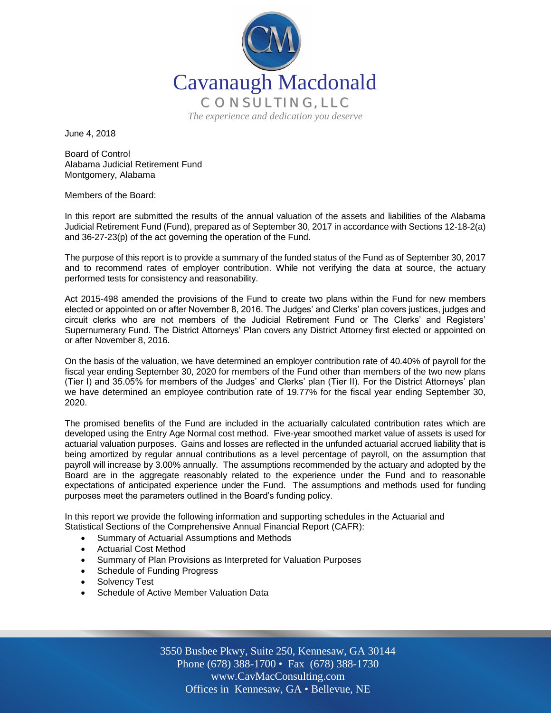

June 4, 2018

Board of Control Alabama Judicial Retirement Fund Montgomery, Alabama

Members of the Board:

In this report are submitted the results of the annual valuation of the assets and liabilities of the Alabama Judicial Retirement Fund (Fund), prepared as of September 30, 2017 in accordance with Sections 12-18-2(a) and 36-27-23(p) of the act governing the operation of the Fund.

The purpose of this report is to provide a summary of the funded status of the Fund as of September 30, 2017 and to recommend rates of employer contribution. While not verifying the data at source, the actuary performed tests for consistency and reasonability.

Act 2015-498 amended the provisions of the Fund to create two plans within the Fund for new members elected or appointed on or after November 8, 2016. The Judges' and Clerks' plan covers justices, judges and circuit clerks who are not members of the Judicial Retirement Fund or The Clerks' and Registers' Supernumerary Fund. The District Attorneys' Plan covers any District Attorney first elected or appointed on or after November 8, 2016.

On the basis of the valuation, we have determined an employer contribution rate of 40.40% of payroll for the fiscal year ending September 30, 2020 for members of the Fund other than members of the two new plans (Tier I) and 35.05% for members of the Judges' and Clerks' plan (Tier II). For the District Attorneys' plan we have determined an employee contribution rate of 19.77% for the fiscal year ending September 30, 2020.

The promised benefits of the Fund are included in the actuarially calculated contribution rates which are developed using the Entry Age Normal cost method. Five-year smoothed market value of assets is used for actuarial valuation purposes. Gains and losses are reflected in the unfunded actuarial accrued liability that is being amortized by regular annual contributions as a level percentage of payroll, on the assumption that payroll will increase by 3.00% annually. The assumptions recommended by the actuary and adopted by the Board are in the aggregate reasonably related to the experience under the Fund and to reasonable expectations of anticipated experience under the Fund. The assumptions and methods used for funding purposes meet the parameters outlined in the Board's funding policy.

In this report we provide the following information and supporting schedules in the Actuarial and Statistical Sections of the Comprehensive Annual Financial Report (CAFR):

- Summary of Actuarial Assumptions and Methods
- Actuarial Cost Method
- Summary of Plan Provisions as Interpreted for Valuation Purposes
- Schedule of Funding Progress
- Solvency Test
- Schedule of Active Member Valuation Data

Off Offices in Kennesaw, GA • Bellevue, NE 3550 Busbee Pkwy, Suite 250, Kennesaw, GA 30144 Phone (678) 388-1700 • Fax (678) 388-1730 www.CavMacConsulting.com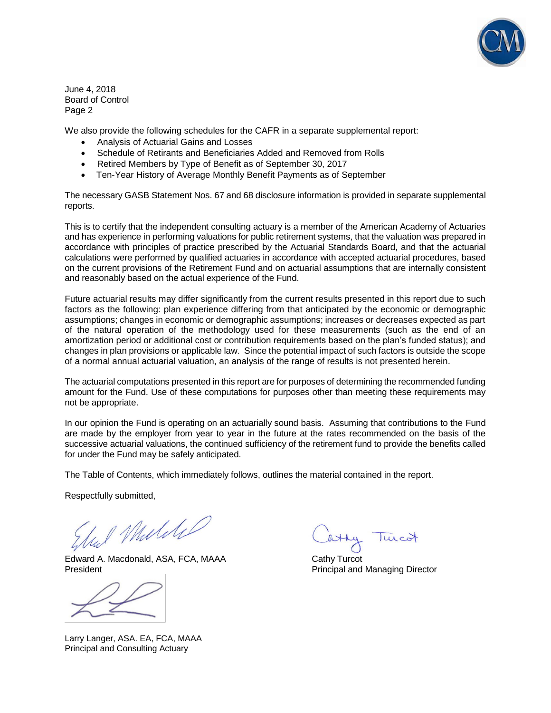

June 4, 2018 Board of Control Page 2

We also provide the following schedules for the CAFR in a separate supplemental report:

- Analysis of Actuarial Gains and Losses
- Schedule of Retirants and Beneficiaries Added and Removed from Rolls
- Retired Members by Type of Benefit as of September 30, 2017
- Ten-Year History of Average Monthly Benefit Payments as of September

The necessary GASB Statement Nos. 67 and 68 disclosure information is provided in separate supplemental reports.

This is to certify that the independent consulting actuary is a member of the American Academy of Actuaries and has experience in performing valuations for public retirement systems, that the valuation was prepared in accordance with principles of practice prescribed by the Actuarial Standards Board, and that the actuarial calculations were performed by qualified actuaries in accordance with accepted actuarial procedures, based on the current provisions of the Retirement Fund and on actuarial assumptions that are internally consistent and reasonably based on the actual experience of the Fund.

Future actuarial results may differ significantly from the current results presented in this report due to such factors as the following: plan experience differing from that anticipated by the economic or demographic assumptions; changes in economic or demographic assumptions; increases or decreases expected as part of the natural operation of the methodology used for these measurements (such as the end of an amortization period or additional cost or contribution requirements based on the plan's funded status); and changes in plan provisions or applicable law. Since the potential impact of such factors is outside the scope of a normal annual actuarial valuation, an analysis of the range of results is not presented herein.

The actuarial computations presented in this report are for purposes of determining the recommended funding amount for the Fund. Use of these computations for purposes other than meeting these requirements may not be appropriate.

In our opinion the Fund is operating on an actuarially sound basis. Assuming that contributions to the Fund are made by the employer from year to year in the future at the rates recommended on the basis of the successive actuarial valuations, the continued sufficiency of the retirement fund to provide the benefits called for under the Fund may be safely anticipated.

The Table of Contents, which immediately follows, outlines the material contained in the report.

Respectfully submitted,

1 Muliki

Edward A. Macdonald, ASA, FCA, MAAA Cathy Turcot President **President** Principal and Managing Director

Larry Langer, ASA. EA, FCA, MAAA Principal and Consulting Actuary

luco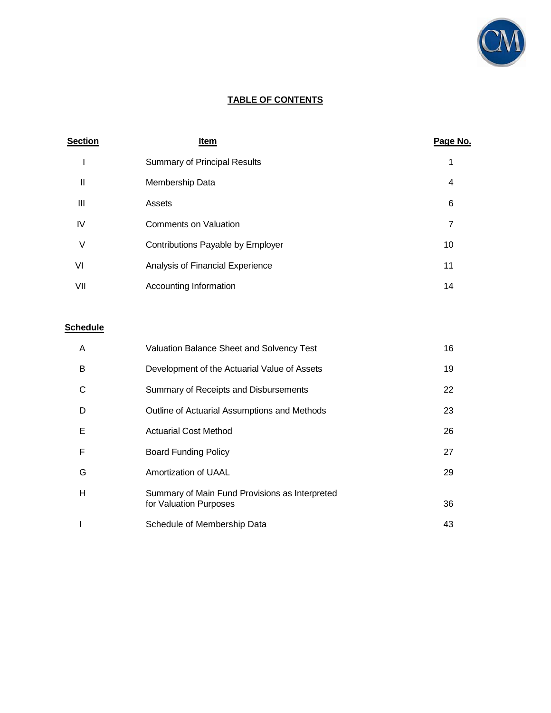

# **TABLE OF CONTENTS**

| <b>Section</b> | <b>Item</b>                         | Page No. |
|----------------|-------------------------------------|----------|
|                | <b>Summary of Principal Results</b> |          |
| Ш              | Membership Data                     | 4        |
| Ш              | Assets                              | 6        |
| IV             | <b>Comments on Valuation</b>        | 7        |
| V              | Contributions Payable by Employer   | 10       |
| VI             | Analysis of Financial Experience    | 11       |
| VII            | Accounting Information              | 14       |

# **Schedule**

| A | Valuation Balance Sheet and Solvency Test                                | 16 |
|---|--------------------------------------------------------------------------|----|
| B | Development of the Actuarial Value of Assets                             | 19 |
| C | Summary of Receipts and Disbursements                                    | 22 |
| D | Outline of Actuarial Assumptions and Methods                             | 23 |
| Е | <b>Actuarial Cost Method</b>                                             | 26 |
| F | <b>Board Funding Policy</b>                                              | 27 |
| G | Amortization of UAAL                                                     | 29 |
| Н | Summary of Main Fund Provisions as Interpreted<br>for Valuation Purposes | 36 |
|   | Schedule of Membership Data                                              | 43 |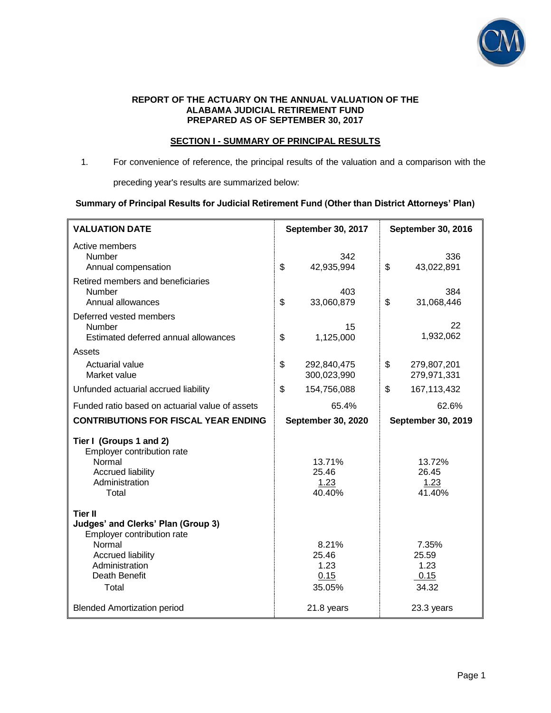

### **REPORT OF THE ACTUARY ON THE ANNUAL VALUATION OF THE ALABAMA JUDICIAL RETIREMENT FUND PREPARED AS OF SEPTEMBER 30, 2017**

### **SECTION I - SUMMARY OF PRINCIPAL RESULTS**

1. For convenience of reference, the principal results of the valuation and a comparison with the

preceding year's results are summarized below:

### **Summary of Principal Results for Judicial Retirement Fund (Other than District Attorneys' Plan)**

| <b>VALUATION DATE</b>                                                                                                                                                | September 30, 2017                       | <b>September 30, 2016</b>               |  |
|----------------------------------------------------------------------------------------------------------------------------------------------------------------------|------------------------------------------|-----------------------------------------|--|
| Active members<br><b>Number</b><br>Annual compensation                                                                                                               | 342<br>\$<br>42,935,994                  | 336<br>\$<br>43,022,891                 |  |
| Retired members and beneficiaries<br><b>Number</b><br>Annual allowances                                                                                              | 403<br>\$<br>33,060,879                  | 384<br>\$<br>31,068,446                 |  |
| Deferred vested members<br>Number<br>Estimated deferred annual allowances                                                                                            | 15<br>\$<br>1,125,000                    | 22<br>1,932,062                         |  |
| Assets<br>Actuarial value<br>Market value                                                                                                                            | \$<br>292,840,475<br>300,023,990         | \$<br>279,807,201<br>279,971,331        |  |
| Unfunded actuarial accrued liability                                                                                                                                 | \$<br>154,756,088                        | \$<br>167, 113, 432                     |  |
| Funded ratio based on actuarial value of assets                                                                                                                      | 65.4%                                    | 62.6%                                   |  |
| <b>CONTRIBUTIONS FOR FISCAL YEAR ENDING</b>                                                                                                                          | <b>September 30, 2020</b>                | <b>September 30, 2019</b>               |  |
| Tier I (Groups 1 and 2)<br>Employer contribution rate<br>Normal<br><b>Accrued liability</b><br>Administration<br>Total                                               | 13.71%<br>25.46<br>1.23<br>40.40%        | 13.72%<br>26.45<br>1.23<br>41.40%       |  |
| <b>Tier II</b><br>Judges' and Clerks' Plan (Group 3)<br>Employer contribution rate<br>Normal<br><b>Accrued liability</b><br>Administration<br>Death Benefit<br>Total | 8.21%<br>25.46<br>1.23<br>0.15<br>35.05% | 7.35%<br>25.59<br>1.23<br>0.15<br>34.32 |  |
| <b>Blended Amortization period</b>                                                                                                                                   | 21.8 years                               | 23.3 years                              |  |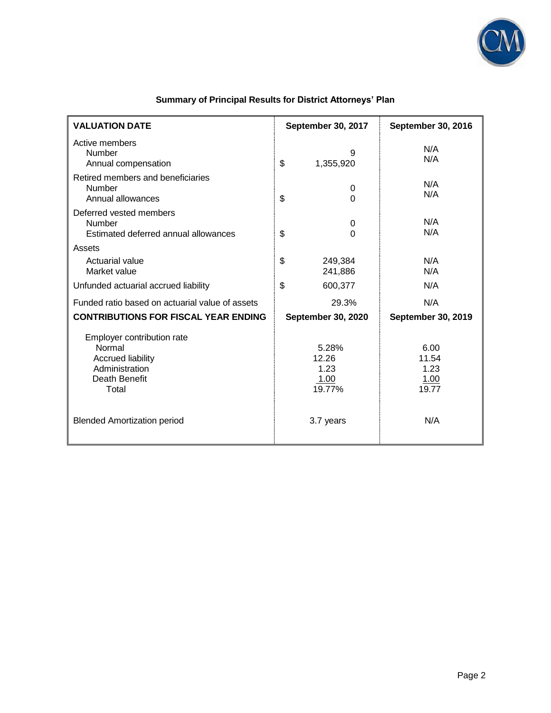

| <b>VALUATION DATE</b>                                                                                        | September 30, 2017                       | <b>September 30, 2016</b>              |  |
|--------------------------------------------------------------------------------------------------------------|------------------------------------------|----------------------------------------|--|
| Active members<br><b>Number</b><br>Annual compensation                                                       | 9<br>\$<br>1,355,920                     | N/A<br>N/A                             |  |
| Retired members and beneficiaries<br>Number<br>Annual allowances                                             | 0<br>\$<br>$\overline{0}$                | N/A<br>N/A                             |  |
| Deferred vested members<br>Number<br>Estimated deferred annual allowances                                    | $\pmb{0}$<br>\$<br>$\Omega$              | N/A<br>N/A                             |  |
| Assets<br>Actuarial value<br>Market value                                                                    | \$<br>249,384<br>241,886                 | N/A<br>N/A                             |  |
| Unfunded actuarial accrued liability                                                                         | \$<br>600,377                            | N/A                                    |  |
| Funded ratio based on actuarial value of assets                                                              | 29.3%                                    | N/A                                    |  |
| <b>CONTRIBUTIONS FOR FISCAL YEAR ENDING</b>                                                                  | <b>September 30, 2020</b>                | September 30, 2019                     |  |
| Employer contribution rate<br>Normal<br><b>Accrued liability</b><br>Administration<br>Death Benefit<br>Total | 5.28%<br>12.26<br>1.23<br>1.00<br>19.77% | 6.00<br>11.54<br>1.23<br>1.00<br>19.77 |  |
| <b>Blended Amortization period</b>                                                                           | 3.7 years                                | N/A                                    |  |

# **Summary of Principal Results for District Attorneys' Plan**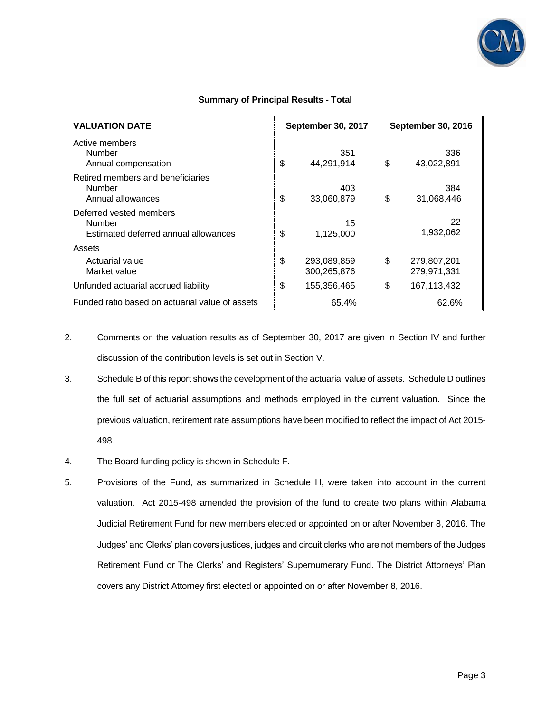

| <b>VALUATION DATE</b>                                                            | <b>September 30, 2017</b>        | <b>September 30, 2016</b>        |  |
|----------------------------------------------------------------------------------|----------------------------------|----------------------------------|--|
| Active members<br><b>Number</b><br>Annual compensation                           | 351<br>\$<br>44,291,914          | 336<br>\$<br>43,022,891          |  |
| Retired members and beneficiaries<br><b>Number</b><br>Annual allowances          | 403<br>\$<br>33,060,879          | 384<br>\$<br>31,068,446          |  |
| Deferred vested members<br><b>Number</b><br>Estimated deferred annual allowances | 15<br>\$<br>1,125,000            | 22<br>1,932,062                  |  |
| Assets                                                                           |                                  |                                  |  |
| Actuarial value<br>Market value                                                  | \$<br>293,089,859<br>300,265,876 | \$<br>279,807,201<br>279,971,331 |  |
| Unfunded actuarial accrued liability                                             | \$<br>155,356,465                | \$<br>167, 113, 432              |  |
| Funded ratio based on actuarial value of assets                                  | 65.4%                            | 62.6%                            |  |

- 2. Comments on the valuation results as of September 30, 2017 are given in Section IV and further discussion of the contribution levels is set out in Section V.
- 3. Schedule B of this report shows the development of the actuarial value of assets. Schedule D outlines the full set of actuarial assumptions and methods employed in the current valuation. Since the previous valuation, retirement rate assumptions have been modified to reflect the impact of Act 2015- 498.
- 4. The Board funding policy is shown in Schedule F.
- 5. Provisions of the Fund, as summarized in Schedule H, were taken into account in the current valuation. Act 2015-498 amended the provision of the fund to create two plans within Alabama Judicial Retirement Fund for new members elected or appointed on or after November 8, 2016. The Judges' and Clerks' plan covers justices, judges and circuit clerks who are not members of the Judges Retirement Fund or The Clerks' and Registers' Supernumerary Fund. The District Attorneys' Plan covers any District Attorney first elected or appointed on or after November 8, 2016.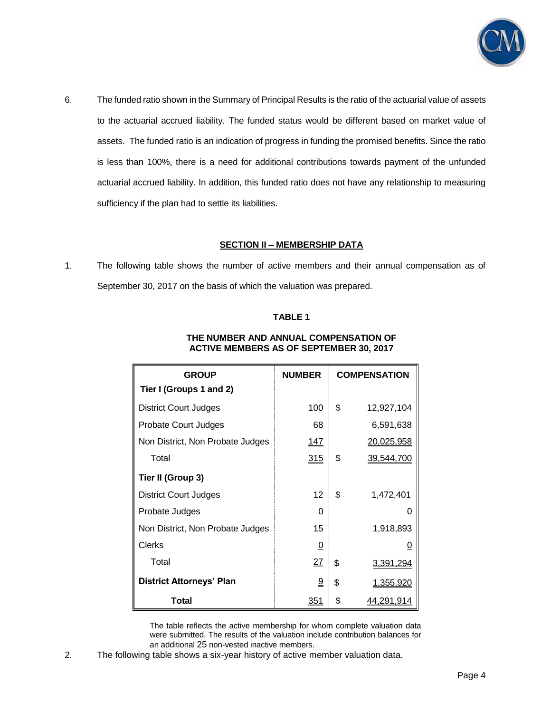

6. The funded ratio shown in the Summary of Principal Results is the ratio of the actuarial value of assets to the actuarial accrued liability. The funded status would be different based on market value of assets. The funded ratio is an indication of progress in funding the promised benefits. Since the ratio is less than 100%, there is a need for additional contributions towards payment of the unfunded actuarial accrued liability. In addition, this funded ratio does not have any relationship to measuring sufficiency if the plan had to settle its liabilities.

### **SECTION II – MEMBERSHIP DATA**

1. The following table shows the number of active members and their annual compensation as of September 30, 2017 on the basis of which the valuation was prepared.

## **TABLE 1**

| <b>GROUP</b>                     | <b>NUMBER</b> | <b>COMPENSATION</b>    |
|----------------------------------|---------------|------------------------|
| Tier I (Groups 1 and 2)          |               |                        |
| <b>District Court Judges</b>     | 100           | \$<br>12,927,104       |
| Probate Court Judges             | 68            | 6,591,638              |
| Non District, Non Probate Judges | <u> 147</u>   | 20,025,958             |
| Total                            | <u>315</u>    | \$<br>39,544,700       |
| Tier II (Group 3)                |               |                        |
| <b>District Court Judges</b>     | 12            | \$<br>1,472,401        |
| Probate Judges                   | O             | O                      |
| Non District, Non Probate Judges | 15            | 1,918,893              |
| <b>Clerks</b>                    | <u>0</u>      | 0                      |
| Total                            | <u>27</u>     | \$<br>3,391,294        |
| <b>District Attorneys' Plan</b>  | <u>១</u>      | \$<br><u>1,355,920</u> |
| Total                            | <u>351</u>    | \$<br>44,291,914       |

### **THE NUMBER AND ANNUAL COMPENSATION OF ACTIVE MEMBERS AS OF SEPTEMBER 30, 2017**

 The table reflects the active membership for whom complete valuation data were submitted. The results of the valuation include contribution balances for an additional 25 non-vested inactive members.

2. The following table shows a six-year history of active member valuation data.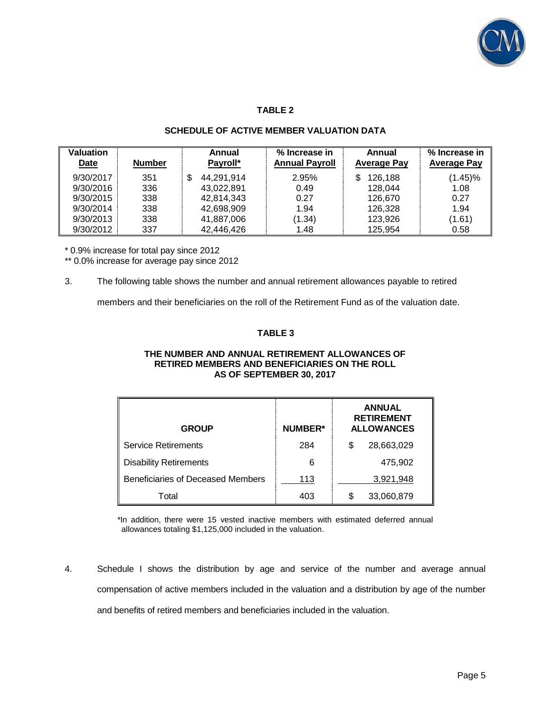

# **TABLE 2**

# **SCHEDULE OF ACTIVE MEMBER VALUATION DATA**

| <b>Valuation</b><br><b>Date</b> | <b>Number</b> | Annual<br>Payroll* | % Increase in<br><b>Annual Payroll</b> | Annual<br><b>Average Pay</b> | % Increase in<br><b>Average Pay</b> |
|---------------------------------|---------------|--------------------|----------------------------------------|------------------------------|-------------------------------------|
| 9/30/2017                       | 351           | 44,291,914<br>S    | 2.95%                                  | 126,188<br>S                 | $(1.45)\%$                          |
| 9/30/2016                       | 336           | 43.022.891         | 0.49                                   | 128.044                      | 1.08                                |
| 9/30/2015                       | 338           | 42,814,343         | 0.27                                   | 126.670                      | 0.27                                |
| 9/30/2014                       | 338           | 42,698,909         | 1.94                                   | 126.328                      | 1.94                                |
| 9/30/2013                       | 338           | 41,887,006         | (1.34)                                 | 123,926                      | (1.61)                              |
| 9/30/2012                       | 337           | 42,446,426         | 1.48                                   | 125.954                      | 0.58                                |

\* 0.9% increase for total pay since 2012

\*\* 0.0% increase for average pay since 2012

## 3. The following table shows the number and annual retirement allowances payable to retired

members and their beneficiaries on the roll of the Retirement Fund as of the valuation date.

# **TABLE 3**

#### **THE NUMBER AND ANNUAL RETIREMENT ALLOWANCES OF RETIRED MEMBERS AND BENEFICIARIES ON THE ROLL AS OF SEPTEMBER 30, 2017**

| <b>GROUP</b>                      | <b>NUMBER*</b> | <b>ANNUAL</b><br><b>RETIREMENT</b><br><b>ALLOWANCES</b> |  |
|-----------------------------------|----------------|---------------------------------------------------------|--|
| Service Retirements               | 284            | 28,663,029<br>S                                         |  |
| <b>Disability Retirements</b>     | 6              | 475,902                                                 |  |
| Beneficiaries of Deceased Members | 113            | 3,921,948                                               |  |
| Total                             | 403            | 33,060,879<br>\$                                        |  |

\*In addition, there were 15 vested inactive members with estimated deferred annual allowances totaling \$1,125,000 included in the valuation.

4. Schedule I shows the distribution by age and service of the number and average annual compensation of active members included in the valuation and a distribution by age of the number and benefits of retired members and beneficiaries included in the valuation.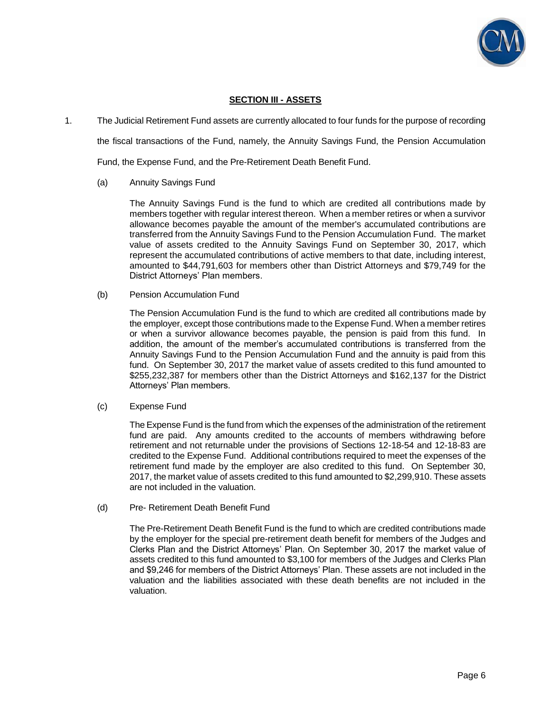

## **SECTION III - ASSETS**

1. The Judicial Retirement Fund assets are currently allocated to four funds for the purpose of recording

the fiscal transactions of the Fund, namely, the Annuity Savings Fund, the Pension Accumulation

Fund, the Expense Fund, and the Pre-Retirement Death Benefit Fund.

#### (a) Annuity Savings Fund

 The Annuity Savings Fund is the fund to which are credited all contributions made by members together with regular interest thereon. When a member retires or when a survivor allowance becomes payable the amount of the member's accumulated contributions are transferred from the Annuity Savings Fund to the Pension Accumulation Fund. The market value of assets credited to the Annuity Savings Fund on September 30, 2017, which represent the accumulated contributions of active members to that date, including interest, amounted to \$44,791,603 for members other than District Attorneys and \$79,749 for the District Attorneys' Plan members.

#### (b) Pension Accumulation Fund

 The Pension Accumulation Fund is the fund to which are credited all contributions made by the employer, except those contributions made to the Expense Fund. When a member retires or when a survivor allowance becomes payable, the pension is paid from this fund. In addition, the amount of the member's accumulated contributions is transferred from the Annuity Savings Fund to the Pension Accumulation Fund and the annuity is paid from this fund. On September 30, 2017 the market value of assets credited to this fund amounted to \$255,232,387 for members other than the District Attorneys and \$162,137 for the District Attorneys' Plan members.

#### (c) Expense Fund

 The Expense Fund is the fund from which the expenses of the administration of the retirement fund are paid. Any amounts credited to the accounts of members withdrawing before retirement and not returnable under the provisions of Sections 12-18-54 and 12-18-83 are credited to the Expense Fund. Additional contributions required to meet the expenses of the retirement fund made by the employer are also credited to this fund. On September 30, 2017, the market value of assets credited to this fund amounted to \$2,299,910. These assets are not included in the valuation.

(d) Pre- Retirement Death Benefit Fund

 The Pre-Retirement Death Benefit Fund is the fund to which are credited contributions made by the employer for the special pre-retirement death benefit for members of the Judges and Clerks Plan and the District Attorneys' Plan. On September 30, 2017 the market value of assets credited to this fund amounted to \$3,100 for members of the Judges and Clerks Plan and \$9,246 for members of the District Attorneys' Plan. These assets are not included in the valuation and the liabilities associated with these death benefits are not included in the valuation.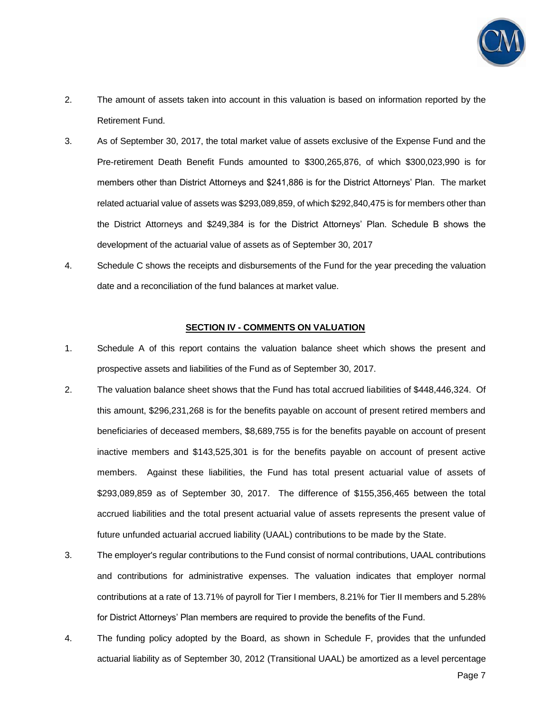

- 2. The amount of assets taken into account in this valuation is based on information reported by the Retirement Fund.
- 3. As of September 30, 2017, the total market value of assets exclusive of the Expense Fund and the Pre-retirement Death Benefit Funds amounted to \$300,265,876, of which \$300,023,990 is for members other than District Attorneys and \$241,886 is for the District Attorneys' Plan. The market related actuarial value of assets was \$293,089,859, of which \$292,840,475 is for members other than the District Attorneys and \$249,384 is for the District Attorneys' Plan. Schedule B shows the development of the actuarial value of assets as of September 30, 2017
- 4. Schedule C shows the receipts and disbursements of the Fund for the year preceding the valuation date and a reconciliation of the fund balances at market value.

#### **SECTION IV - COMMENTS ON VALUATION**

- 1. Schedule A of this report contains the valuation balance sheet which shows the present and prospective assets and liabilities of the Fund as of September 30, 2017.
- 2. The valuation balance sheet shows that the Fund has total accrued liabilities of \$448,446,324. Of this amount, \$296,231,268 is for the benefits payable on account of present retired members and beneficiaries of deceased members, \$8,689,755 is for the benefits payable on account of present inactive members and \$143,525,301 is for the benefits payable on account of present active members. Against these liabilities, the Fund has total present actuarial value of assets of \$293,089,859 as of September 30, 2017. The difference of \$155,356,465 between the total accrued liabilities and the total present actuarial value of assets represents the present value of future unfunded actuarial accrued liability (UAAL) contributions to be made by the State.
- 3. The employer's regular contributions to the Fund consist of normal contributions, UAAL contributions and contributions for administrative expenses. The valuation indicates that employer normal contributions at a rate of 13.71% of payroll for Tier I members, 8.21% for Tier II members and 5.28% for District Attorneys' Plan members are required to provide the benefits of the Fund.
- 4. The funding policy adopted by the Board, as shown in Schedule F, provides that the unfunded actuarial liability as of September 30, 2012 (Transitional UAAL) be amortized as a level percentage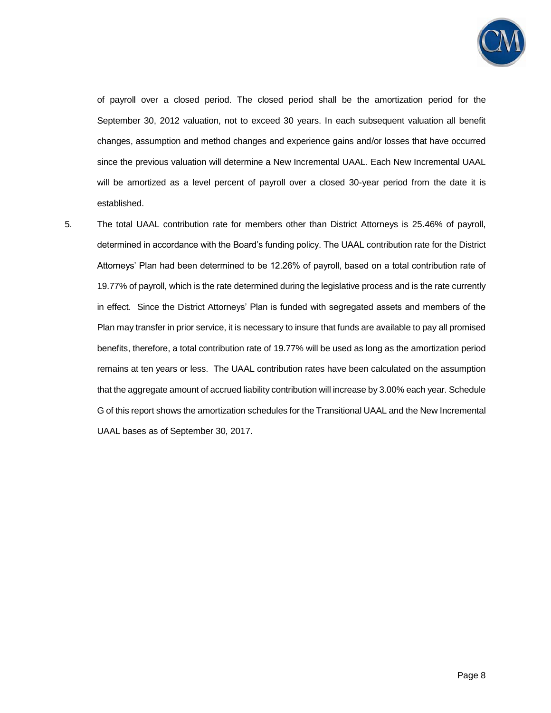

of payroll over a closed period. The closed period shall be the amortization period for the September 30, 2012 valuation, not to exceed 30 years. In each subsequent valuation all benefit changes, assumption and method changes and experience gains and/or losses that have occurred since the previous valuation will determine a New Incremental UAAL. Each New Incremental UAAL will be amortized as a level percent of payroll over a closed 30-year period from the date it is established.

5. The total UAAL contribution rate for members other than District Attorneys is 25.46% of payroll, determined in accordance with the Board's funding policy. The UAAL contribution rate for the District Attorneys' Plan had been determined to be 12.26% of payroll, based on a total contribution rate of 19.77% of payroll, which is the rate determined during the legislative process and is the rate currently in effect. Since the District Attorneys' Plan is funded with segregated assets and members of the Plan may transfer in prior service, it is necessary to insure that funds are available to pay all promised benefits, therefore, a total contribution rate of 19.77% will be used as long as the amortization period remains at ten years or less. The UAAL contribution rates have been calculated on the assumption that the aggregate amount of accrued liability contribution will increase by 3.00% each year. Schedule G of this report shows the amortization schedules for the Transitional UAAL and the New Incremental UAAL bases as of September 30, 2017.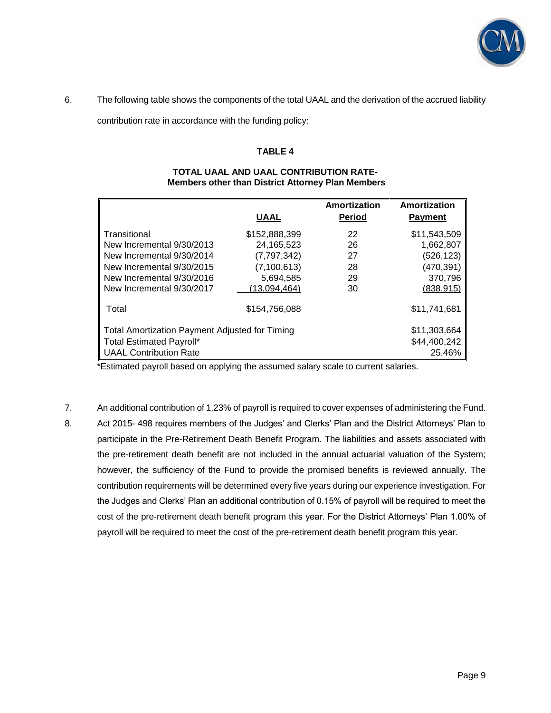

6. The following table shows the components of the total UAAL and the derivation of the accrued liability

contribution rate in accordance with the funding policy:

# **TABLE 4**

| <b>Members other than District Attorney Plan Members</b>       |               |                               |                                |  |
|----------------------------------------------------------------|---------------|-------------------------------|--------------------------------|--|
|                                                                | <b>UAAL</b>   | Amortization<br><b>Period</b> | Amortization<br><b>Payment</b> |  |
|                                                                |               |                               |                                |  |
| Transitional                                                   | \$152,888,399 | 22                            | \$11,543,509                   |  |
| New Incremental 9/30/2013                                      | 24,165,523    | 26                            | 1,662,807                      |  |
| New Incremental 9/30/2014                                      | (7,797,342)   | 27                            | (526,123)                      |  |
| New Incremental 9/30/2015                                      | (7, 100, 613) | 28                            | (470,391)                      |  |
| New Incremental 9/30/2016                                      | 5,694,585     | 29                            | 370,796                        |  |
| New Incremental 9/30/2017                                      | (13,094,464)  | 30                            | (838, 915)                     |  |
| Total                                                          | \$154,756,088 |                               | \$11,741,681                   |  |
| \$11,303,664<br>Total Amortization Payment Adjusted for Timing |               |                               |                                |  |
| <b>Total Estimated Payroll*</b>                                |               |                               | \$44,400,242                   |  |
| <b>UAAL Contribution Rate</b>                                  |               |                               | 25.46%                         |  |

#### **TOTAL UAAL AND UAAL CONTRIBUTION RATE- Members other than District Attorney Plan Members**

\*Estimated payroll based on applying the assumed salary scale to current salaries.

7. An additional contribution of 1.23% of payroll is required to cover expenses of administering the Fund. 8. Act 2015- 498 requires members of the Judges' and Clerks' Plan and the District Attorneys' Plan to participate in the Pre-Retirement Death Benefit Program. The liabilities and assets associated with the pre-retirement death benefit are not included in the annual actuarial valuation of the System; however, the sufficiency of the Fund to provide the promised benefits is reviewed annually. The contribution requirements will be determined every five years during our experience investigation. For the Judges and Clerks' Plan an additional contribution of 0.15% of payroll will be required to meet the cost of the pre-retirement death benefit program this year. For the District Attorneys' Plan 1.00% of payroll will be required to meet the cost of the pre-retirement death benefit program this year.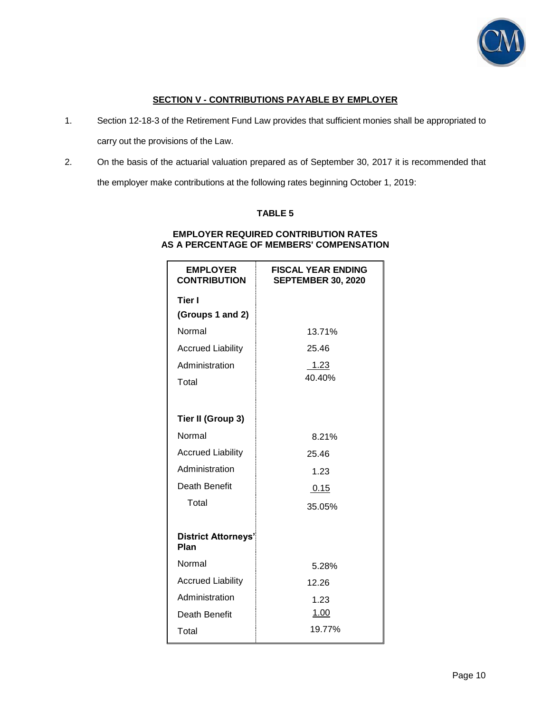

# **SECTION V - CONTRIBUTIONS PAYABLE BY EMPLOYER**

1. Section 12-18-3 of the Retirement Fund Law provides that sufficient monies shall be appropriated to

carry out the provisions of the Law.

2. On the basis of the actuarial valuation prepared as of September 30, 2017 it is recommended that the employer make contributions at the following rates beginning October 1, 2019:

# **TABLE 5**

### **EMPLOYER REQUIRED CONTRIBUTION RATES AS A PERCENTAGE OF MEMBERS' COMPENSATION**

| <b>EMPLOYER</b><br><b>CONTRIBUTION</b> | <b>FISCAL YEAR ENDING</b><br><b>SEPTEMBER 30, 2020</b> |
|----------------------------------------|--------------------------------------------------------|
| Tier I                                 |                                                        |
| (Groups 1 and 2)                       |                                                        |
| Normal                                 | 13.71%                                                 |
| <b>Accrued Liability</b>               | 25.46                                                  |
| Administration                         | 1.23                                                   |
| Total                                  | 40.40%                                                 |
|                                        |                                                        |
| Tier II (Group 3)                      |                                                        |
| Normal                                 | 8.21%                                                  |
| <b>Accrued Liability</b>               | 25.46                                                  |
| Administration                         | 1.23                                                   |
| Death Benefit                          | 0.15                                                   |
| Total                                  | 35.05%                                                 |
|                                        |                                                        |
| <b>District Attorneys'</b><br>Plan     |                                                        |
| Normal                                 | 5.28%                                                  |
| <b>Accrued Liability</b>               | 12.26                                                  |
| Administration                         | 1.23                                                   |
| Death Benefit                          | <u>1.00</u>                                            |
| Total                                  | 19.77%                                                 |
|                                        |                                                        |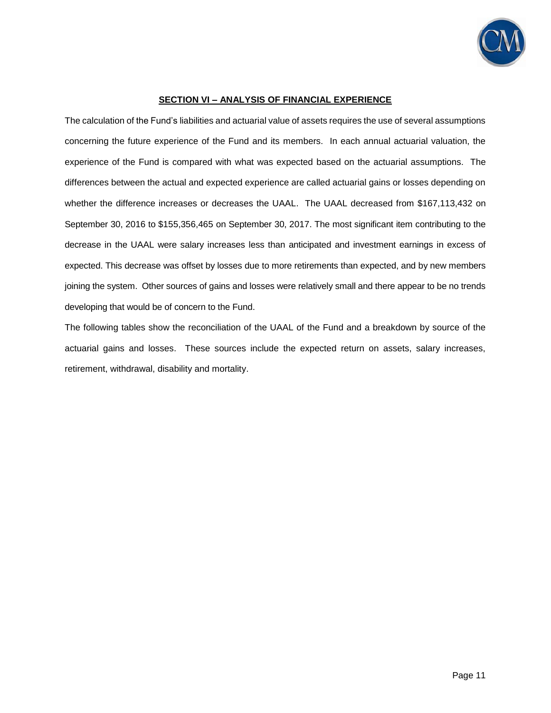

### **SECTION VI – ANALYSIS OF FINANCIAL EXPERIENCE**

The calculation of the Fund's liabilities and actuarial value of assets requires the use of several assumptions concerning the future experience of the Fund and its members. In each annual actuarial valuation, the experience of the Fund is compared with what was expected based on the actuarial assumptions. The differences between the actual and expected experience are called actuarial gains or losses depending on whether the difference increases or decreases the UAAL. The UAAL decreased from \$167,113,432 on September 30, 2016 to \$155,356,465 on September 30, 2017. The most significant item contributing to the decrease in the UAAL were salary increases less than anticipated and investment earnings in excess of expected. This decrease was offset by losses due to more retirements than expected, and by new members joining the system. Other sources of gains and losses were relatively small and there appear to be no trends developing that would be of concern to the Fund.

The following tables show the reconciliation of the UAAL of the Fund and a breakdown by source of the actuarial gains and losses. These sources include the expected return on assets, salary increases, retirement, withdrawal, disability and mortality.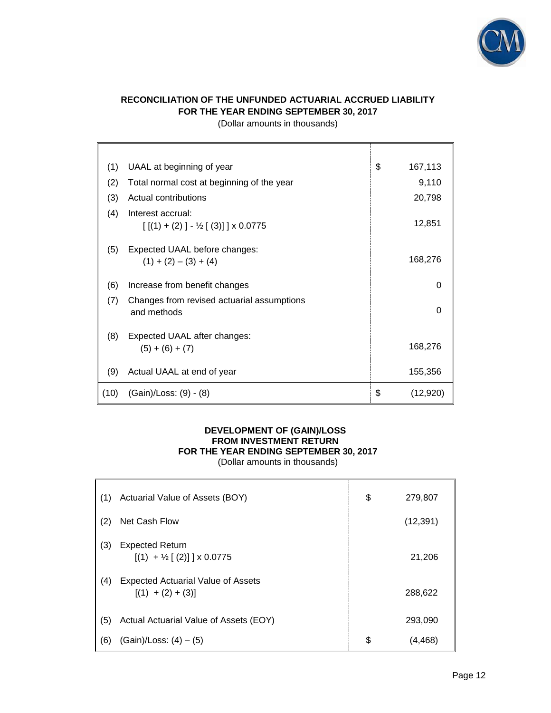

# **RECONCILIATION OF THE UNFUNDED ACTUARIAL ACCRUED LIABILITY FOR THE YEAR ENDING SEPTEMBER 30, 2017**

(Dollar amounts in thousands)

| (1)  | UAAL at beginning of year                                                  | \$<br>167,113  |
|------|----------------------------------------------------------------------------|----------------|
| (2)  | Total normal cost at beginning of the year                                 | 9,110          |
| (3)  | Actual contributions                                                       | 20,798         |
| (4)  | Interest accrual:<br>$[[(1) + (2) ] - \frac{1}{2} [ (3) ] ] \times 0.0775$ | 12,851         |
| (5)  | Expected UAAL before changes:<br>$(1) + (2) - (3) + (4)$                   | 168,276        |
| (6)  | Increase from benefit changes                                              | 0              |
| (7)  | Changes from revised actuarial assumptions<br>and methods                  | $\Omega$       |
| (8)  | Expected UAAL after changes:<br>$(5) + (6) + (7)$                          | 168,276        |
| (9)  | Actual UAAL at end of year                                                 | 155,356        |
| (10) | (Gain)/Loss: (9) - (8)                                                     | \$<br>(12,920) |

### **DEVELOPMENT OF (GAIN)/LOSS FROM INVESTMENT RETURN FOR THE YEAR ENDING SEPTEMBER 30, 2017**  (Dollar amounts in thousands)

| (1) | Actuarial Value of Assets (BOY)                                     | \$<br>279,807 |
|-----|---------------------------------------------------------------------|---------------|
| (2) | Net Cash Flow                                                       | (12, 391)     |
| (3) | <b>Expected Return</b><br>$[(1) + \frac{1}{2} [(2)] \times 0.0775]$ | 21,206        |
| (4) | <b>Expected Actuarial Value of Assets</b><br>$[(1) + (2) + (3)]$    | 288,622       |
| (5) | Actual Actuarial Value of Assets (EOY)                              | 293,090       |
| (6) | $(Gain)/Loss: (4) - (5)$                                            | \$<br>(4,468) |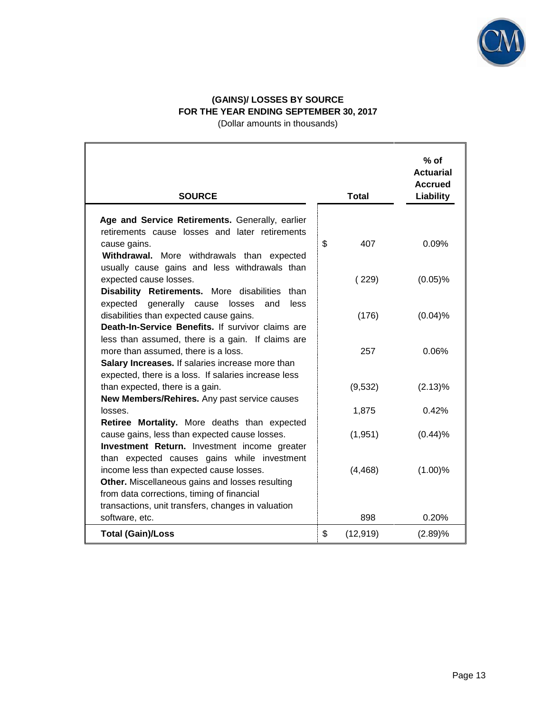

# **(GAINS)/ LOSSES BY SOURCE FOR THE YEAR ENDING SEPTEMBER 30, 2017**

(Dollar amounts in thousands)

| <b>SOURCE</b>                                                                                | <b>Total</b>    | $%$ of<br><b>Actuarial</b><br><b>Accrued</b><br>Liability |
|----------------------------------------------------------------------------------------------|-----------------|-----------------------------------------------------------|
| Age and Service Retirements. Generally, earlier                                              |                 |                                                           |
| retirements cause losses and later retirements                                               |                 |                                                           |
| cause gains.                                                                                 | \$<br>407       | 0.09%                                                     |
| Withdrawal. More withdrawals than expected                                                   |                 |                                                           |
| usually cause gains and less withdrawals than                                                |                 |                                                           |
| expected cause losses.                                                                       | (229)           | $(0.05)$ %                                                |
| Disability Retirements. More disabilities than                                               |                 |                                                           |
| expected generally cause<br>losses<br>and<br>less                                            |                 |                                                           |
| disabilities than expected cause gains.<br>Death-In-Service Benefits. If survivor claims are | (176)           | (0.04)%                                                   |
| less than assumed, there is a gain. If claims are                                            |                 |                                                           |
| more than assumed, there is a loss.                                                          | 257             | 0.06%                                                     |
| Salary Increases. If salaries increase more than                                             |                 |                                                           |
| expected, there is a loss. If salaries increase less                                         |                 |                                                           |
| than expected, there is a gain.                                                              | (9,532)         | (2.13)%                                                   |
| New Members/Rehires. Any past service causes                                                 |                 |                                                           |
| losses.                                                                                      | 1,875           | 0.42%                                                     |
| Retiree Mortality. More deaths than expected                                                 |                 |                                                           |
| cause gains, less than expected cause losses.                                                | (1,951)         | (0.44)%                                                   |
| Investment Return. Investment income greater                                                 |                 |                                                           |
| than expected causes gains while investment                                                  |                 |                                                           |
| income less than expected cause losses.<br>Other. Miscellaneous gains and losses resulting   | (4, 468)        | (1.00)%                                                   |
| from data corrections, timing of financial                                                   |                 |                                                           |
| transactions, unit transfers, changes in valuation                                           |                 |                                                           |
| software, etc.                                                                               | 898             | 0.20%                                                     |
| <b>Total (Gain)/Loss</b>                                                                     | \$<br>(12, 919) | (2.89)%                                                   |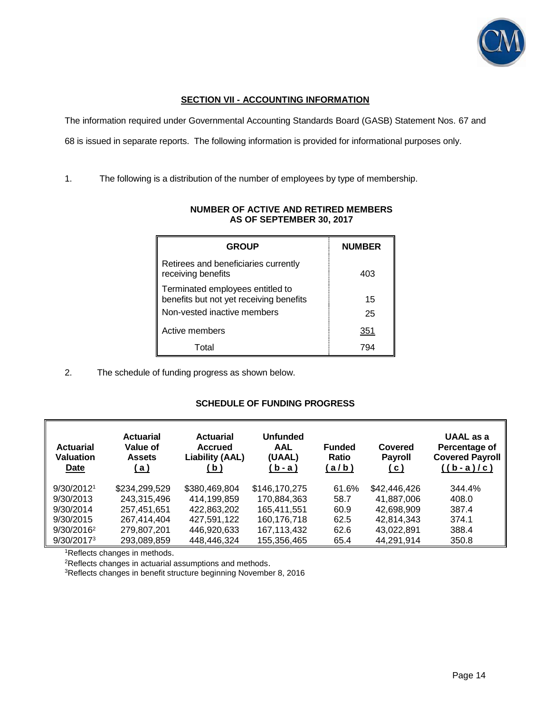

# **SECTION VII - ACCOUNTING INFORMATION**

The information required under Governmental Accounting Standards Board (GASB) Statement Nos. 67 and

68 is issued in separate reports. The following information is provided for informational purposes only.

1. The following is a distribution of the number of employees by type of membership.

| <b>GROUP</b>                                                                | <b>NUMBER</b> |
|-----------------------------------------------------------------------------|---------------|
| Retirees and beneficiaries currently<br>receiving benefits                  | 403           |
| Terminated employees entitled to<br>benefits but not yet receiving benefits | 15            |
| Non-vested inactive members                                                 | 25            |
| Active members                                                              | 351           |
| Total                                                                       | 794           |

## **NUMBER OF ACTIVE AND RETIRED MEMBERS AS OF SEPTEMBER 30, 2017**

2. The schedule of funding progress as shown below.

## **SCHEDULE OF FUNDING PROGRESS**

| <b>Actuarial</b><br><b>Valuation</b><br>Date | <b>Actuarial</b><br>Value of<br><b>Assets</b><br>(a) | <b>Actuarial</b><br><b>Accrued</b><br><b>Liability (AAL)</b><br>(b) | <b>Unfunded</b><br><b>AAL</b><br>(UAAL)<br>(b - a ) | <b>Funded</b><br><b>Ratio</b><br>(a/b) | Covered<br><b>Payroll</b><br>(c) | UAAL as a<br>Percentage of<br><b>Covered Payroll</b><br>$((b-a)/c)$ |
|----------------------------------------------|------------------------------------------------------|---------------------------------------------------------------------|-----------------------------------------------------|----------------------------------------|----------------------------------|---------------------------------------------------------------------|
| 9/30/20121                                   | \$234,299,529                                        | \$380,469,804                                                       | \$146,170,275                                       | 61.6%                                  | \$42,446,426                     | 344.4%                                                              |
| 9/30/2013                                    | 243.315.496                                          | 414.199.859                                                         | 170,884,363                                         | 58.7                                   | 41.887.006                       | 408.0                                                               |
| 9/30/2014                                    | 257,451,651                                          | 422,863,202                                                         | 165.411.551                                         | 60.9                                   | 42,698,909                       | 387.4                                                               |
| 9/30/2015                                    | 267,414,404                                          | 427,591,122                                                         | 160,176,718                                         | 62.5                                   | 42,814,343                       | 374.1                                                               |
| $9/30/2016^2$                                | 279,807,201                                          | 446.920.633                                                         | 167,113,432                                         | 62.6                                   | 43,022,891                       | 388.4                                                               |
| 9/30/2017 <sup>3</sup>                       | 293,089,859                                          | 448,446,324                                                         | 155,356,465                                         | 65.4                                   | 44,291,914                       | 350.8                                                               |

<sup>1</sup>Reflects changes in methods.

<sup>2</sup>Reflects changes in actuarial assumptions and methods.

3Reflects changes in benefit structure beginning November 8, 2016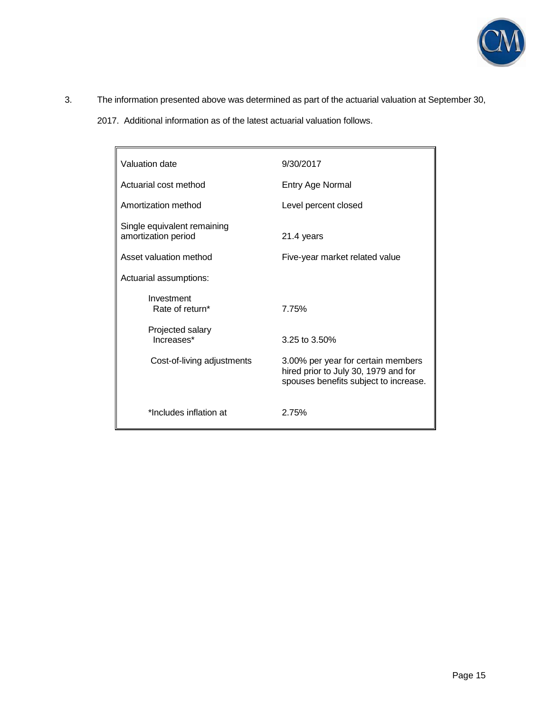

- 3. The information presented above was determined as part of the actuarial valuation at September 30,
	- 2017. Additional information as of the latest actuarial valuation follows.

| Valuation date                                     | 9/30/2017                                                                                                           |  |
|----------------------------------------------------|---------------------------------------------------------------------------------------------------------------------|--|
| Actuarial cost method                              | Entry Age Normal                                                                                                    |  |
| Amortization method                                | Level percent closed                                                                                                |  |
| Single equivalent remaining<br>amortization period | 21.4 years                                                                                                          |  |
| Asset valuation method                             | Five-year market related value                                                                                      |  |
| Actuarial assumptions:                             |                                                                                                                     |  |
| Investment<br>Rate of return*                      | 7.75%                                                                                                               |  |
| Projected salary<br>Increases*                     | 3.25 to $3.50\%$                                                                                                    |  |
| Cost-of-living adjustments                         | 3.00% per year for certain members<br>hired prior to July 30, 1979 and for<br>spouses benefits subject to increase. |  |
| *Includes inflation at                             | 2.75%                                                                                                               |  |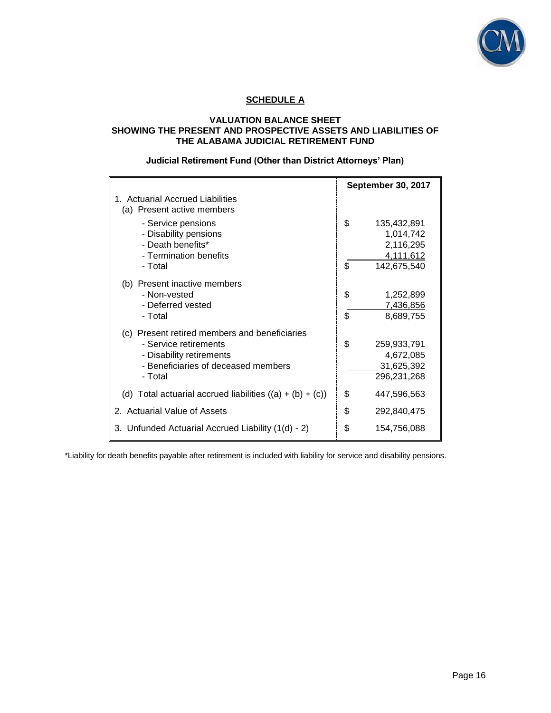

# **SCHEDULE A**

### **VALUATION BALANCE SHEET SHOWING THE PRESENT AND PROSPECTIVE ASSETS AND LIABILITIES OF THE ALABAMA JUDICIAL RETIREMENT FUND**

# **Judicial Retirement Fund (Other than District Attorneys' Plan)**

|                                                                                                                                                      |          | <b>September 30, 2017</b>                                         |
|------------------------------------------------------------------------------------------------------------------------------------------------------|----------|-------------------------------------------------------------------|
| 1. Actuarial Accrued Liabilities<br>(a) Present active members                                                                                       |          |                                                                   |
| - Service pensions<br>- Disability pensions<br>- Death benefits*<br>- Termination benefits<br>- Total                                                | \$<br>\$ | 135,432,891<br>1,014,742<br>2,116,295<br>4,111,612<br>142,675,540 |
| (b) Present inactive members<br>- Non-vested<br>- Deferred vested<br>- Total                                                                         | \$<br>\$ | 1,252,899<br>7,436,856<br>8,689,755                               |
| (c) Present retired members and beneficiaries<br>- Service retirements<br>- Disability retirements<br>- Beneficiaries of deceased members<br>- Total | \$       | 259,933,791<br>4,672,085<br>31,625,392<br>296,231,268             |
| (d) Total actuarial accrued liabilities $((a) + (b) + (c))$                                                                                          | \$       | 447,596,563                                                       |
| 2. Actuarial Value of Assets                                                                                                                         | \$       | 292,840,475                                                       |
| 3. Unfunded Actuarial Accrued Liability (1(d) - 2)                                                                                                   | \$       | 154,756,088                                                       |

\*Liability for death benefits payable after retirement is included with liability for service and disability pensions.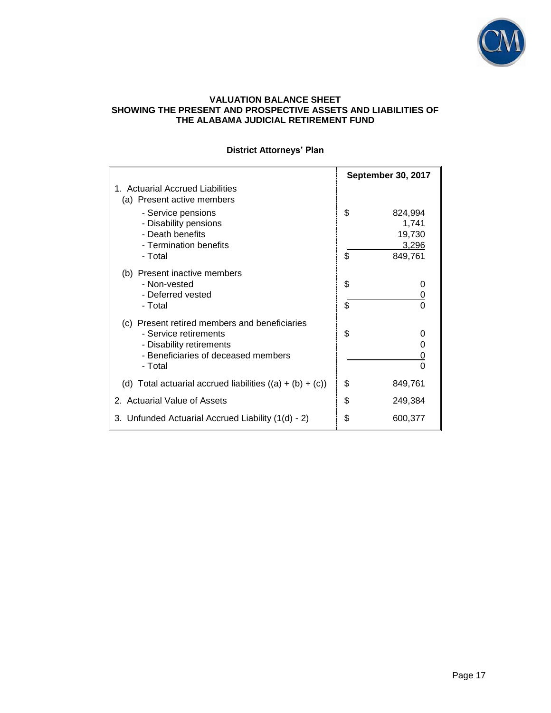

### **VALUATION BALANCE SHEET SHOWING THE PRESENT AND PROSPECTIVE ASSETS AND LIABILITIES OF THE ALABAMA JUDICIAL RETIREMENT FUND**

|                                                                                                                                                      |          | <b>September 30, 2017</b>                      |
|------------------------------------------------------------------------------------------------------------------------------------------------------|----------|------------------------------------------------|
| 1. Actuarial Accrued Liabilities<br>(a) Present active members                                                                                       |          |                                                |
| - Service pensions<br>- Disability pensions<br>- Death benefits<br>- Termination benefits<br>- Total                                                 | \$<br>\$ | 824,994<br>1,741<br>19,730<br>3,296<br>849,761 |
| (b) Present inactive members<br>- Non-vested<br>- Deferred vested<br>- Total                                                                         | \$<br>\$ | 0<br>0<br>0                                    |
| (c) Present retired members and beneficiaries<br>- Service retirements<br>- Disability retirements<br>- Beneficiaries of deceased members<br>- Total | \$       | 0<br>O<br>0<br>$\Omega$                        |
| (d) Total actuarial accrued liabilities $((a) + (b) + (c))$                                                                                          | \$       | 849,761                                        |
| 2. Actuarial Value of Assets                                                                                                                         | \$       | 249,384                                        |
| 3. Unfunded Actuarial Accrued Liability (1(d) - 2)                                                                                                   | \$       | 600,377                                        |

# **District Attorneys' Plan**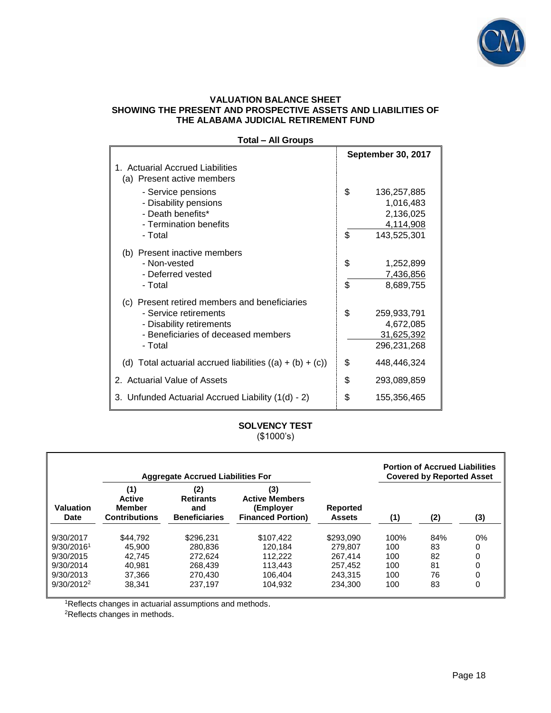

### **VALUATION BALANCE SHEET SHOWING THE PRESENT AND PROSPECTIVE ASSETS AND LIABILITIES OF THE ALABAMA JUDICIAL RETIREMENT FUND**

| Total – All Groups                                                                                                                                   |          |                                                                   |
|------------------------------------------------------------------------------------------------------------------------------------------------------|----------|-------------------------------------------------------------------|
|                                                                                                                                                      |          | <b>September 30, 2017</b>                                         |
| 1. Actuarial Accrued Liabilities<br>(a) Present active members                                                                                       |          |                                                                   |
| - Service pensions<br>- Disability pensions<br>- Death benefits*<br>- Termination benefits<br>- Total                                                | \$<br>\$ | 136,257,885<br>1,016,483<br>2,136,025<br>4,114,908<br>143,525,301 |
| (b) Present inactive members<br>- Non-vested<br>- Deferred vested<br>- Total                                                                         | \$<br>\$ | 1,252,899<br>7,436,856<br>8,689,755                               |
| (c) Present retired members and beneficiaries<br>- Service retirements<br>- Disability retirements<br>- Beneficiaries of deceased members<br>- Total | \$       | 259,933,791<br>4,672,085<br>31,625,392<br>296,231,268             |
| (d) Total actuarial accrued liabilities $((a) + (b) + (c))$                                                                                          | \$       | 448,446,324                                                       |
| 2. Actuarial Value of Assets                                                                                                                         | \$       | 293,089,859                                                       |
| 3. Unfunded Actuarial Accrued Liability (1(d) - 2)                                                                                                   | \$       | 155,356,465                                                       |

# **Total – All Groups**

# **SOLVENCY TEST** (\$1000's)

|                        |                                                               | <b>Aggregate Accrued Liabilities For</b>               |                                                                       |                                  |      | <b>Portion of Accrued Liabilities</b><br><b>Covered by Reported Asset</b> |       |
|------------------------|---------------------------------------------------------------|--------------------------------------------------------|-----------------------------------------------------------------------|----------------------------------|------|---------------------------------------------------------------------------|-------|
| Valuation<br>Date      | (1)<br><b>Active</b><br><b>Member</b><br><b>Contributions</b> | (2)<br><b>Retirants</b><br>and<br><b>Beneficiaries</b> | (3)<br><b>Active Members</b><br>(Employer<br><b>Financed Portion)</b> | <b>Reported</b><br><b>Assets</b> | (1)  | (2)                                                                       | (3)   |
| 9/30/2017              | \$44.792                                                      | \$296.231                                              | \$107,422                                                             | \$293,090                        | 100% | 84%                                                                       | $0\%$ |
| 9/30/2016 <sup>1</sup> | 45.900                                                        | 280.836                                                | 120.184                                                               | 279.807                          | 100  | 83                                                                        | 0     |
| 9/30/2015              | 42.745                                                        | 272.624                                                | 112.222                                                               | 267.414                          | 100  | 82                                                                        | 0     |
| 9/30/2014              | 40.981                                                        | 268,439                                                | 113.443                                                               | 257.452                          | 100  | 81                                                                        | 0     |
| 9/30/2013              | 37.366                                                        | 270.430                                                | 106.404                                                               | 243.315                          | 100  | 76                                                                        | 0     |
| $9/30/2012^2$          | 38.341                                                        | 237.197                                                | 104.932                                                               | 234.300                          | 100  | 83                                                                        | 0     |

1Reflects changes in actuarial assumptions and methods.

2Reflects changes in methods.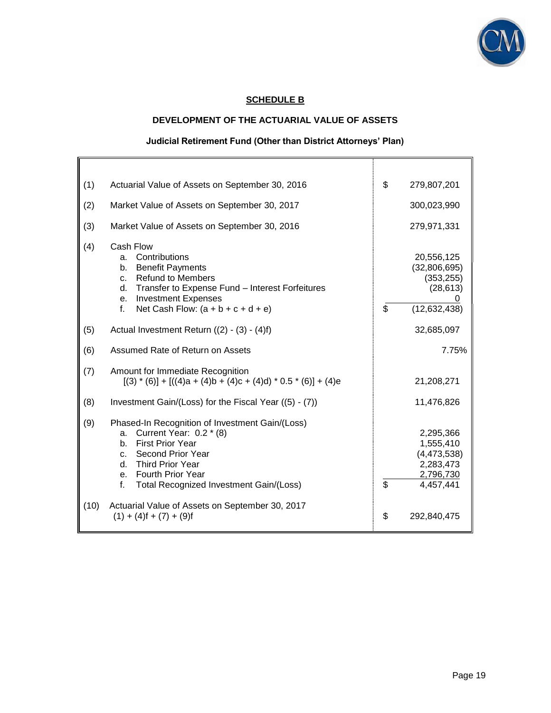

# **SCHEDULE B**

### **DEVELOPMENT OF THE ACTUARIAL VALUE OF ASSETS**

# **Judicial Retirement Fund (Other than District Attorneys' Plan)**

| (1)  | Actuarial Value of Assets on September 30, 2016                                                                                                                                                                                                          | \$<br>279,807,201                                                                  |
|------|----------------------------------------------------------------------------------------------------------------------------------------------------------------------------------------------------------------------------------------------------------|------------------------------------------------------------------------------------|
| (2)  | Market Value of Assets on September 30, 2017                                                                                                                                                                                                             | 300,023,990                                                                        |
| (3)  | Market Value of Assets on September 30, 2016                                                                                                                                                                                                             | 279,971,331                                                                        |
| (4)  | Cash Flow<br>Contributions<br>a.<br><b>Benefit Payments</b><br>b.<br><b>Refund to Members</b><br>$C_{-}$<br>Transfer to Expense Fund - Interest Forfeitures<br>d.<br><b>Investment Expenses</b><br>e.<br>Net Cash Flow: $(a + b + c + d + e)$<br>f.      | \$<br>20,556,125<br>(32,806,695)<br>(353, 255)<br>(28, 613)<br>(12, 632, 438)      |
| (5)  | Actual Investment Return ((2) - (3) - (4)f)                                                                                                                                                                                                              | 32,685,097                                                                         |
| (6)  | Assumed Rate of Return on Assets                                                                                                                                                                                                                         | 7.75%                                                                              |
| (7)  | Amount for Immediate Recognition<br>$[(3) * (6)] + [((4)a + (4)b + (4)c + (4)d) * 0.5 * (6)] + (4)e$                                                                                                                                                     | 21,208,271                                                                         |
| (8)  | Investment Gain/(Loss) for the Fiscal Year ((5) - (7))                                                                                                                                                                                                   | 11,476,826                                                                         |
| (9)  | Phased-In Recognition of Investment Gain/(Loss)<br>Current Year: 0.2 * (8)<br>a.<br><b>First Prior Year</b><br>$h_{\cdot}$<br>Second Prior Year<br>C.<br>Third Prior Year<br>d.<br>e. Fourth Prior Year<br>f.<br>Total Recognized Investment Gain/(Loss) | \$<br>2,295,366<br>1,555,410<br>(4,473,538)<br>2,283,473<br>2,796,730<br>4,457,441 |
| (10) | Actuarial Value of Assets on September 30, 2017<br>$(1) + (4) f + (7) + (9) f$                                                                                                                                                                           | \$<br>292,840,475                                                                  |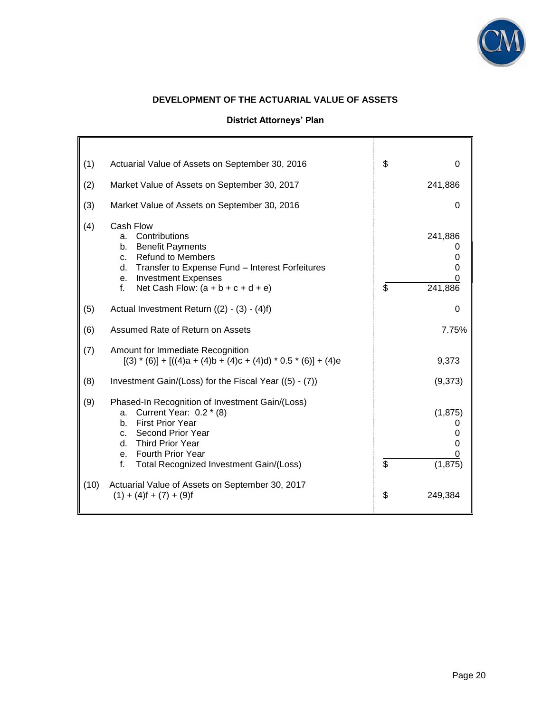

# **DEVELOPMENT OF THE ACTUARIAL VALUE OF ASSETS**

# **District Attorneys' Plan**

| (1)  | Actuarial Value of Assets on September 30, 2016                                                                                                                                                                                                   | \$<br>0                              |
|------|---------------------------------------------------------------------------------------------------------------------------------------------------------------------------------------------------------------------------------------------------|--------------------------------------|
| (2)  | Market Value of Assets on September 30, 2017                                                                                                                                                                                                      | 241,886                              |
| (3)  | Market Value of Assets on September 30, 2016                                                                                                                                                                                                      | 0                                    |
| (4)  | Cash Flow<br>Contributions<br>a.<br><b>Benefit Payments</b><br>b.<br><b>Refund to Members</b><br>$C_{-}$<br>Transfer to Expense Fund - Interest Forfeitures<br>d.<br>e. Investment Expenses<br>Net Cash Flow: $(a + b + c + d + e)$<br>f.         | \$<br>241,886<br>241,886             |
| (5)  | Actual Investment Return $((2) - (3) - (4)f)$                                                                                                                                                                                                     | 0                                    |
| (6)  | Assumed Rate of Return on Assets                                                                                                                                                                                                                  | 7.75%                                |
| (7)  | Amount for Immediate Recognition<br>$[(3) * (6)] + [((4)a + (4)b + (4)c + (4)d) * 0.5 * (6)] + (4)e$                                                                                                                                              | 9,373                                |
| (8)  | Investment Gain/(Loss) for the Fiscal Year ((5) - (7))                                                                                                                                                                                            | (9,373)                              |
| (9)  | Phased-In Recognition of Investment Gain/(Loss)<br>Current Year: 0.2 * (8)<br>a.<br><b>First Prior Year</b><br>$b_{1}$<br>Second Prior Year<br>C.<br>d. Third Prior Year<br>e. Fourth Prior Year<br>f.<br>Total Recognized Investment Gain/(Loss) | \$<br>(1, 875)<br>0<br>0<br>(1, 875) |
| (10) | Actuarial Value of Assets on September 30, 2017<br>$(1) + (4) f + (7) + (9) f$                                                                                                                                                                    | \$<br>249,384                        |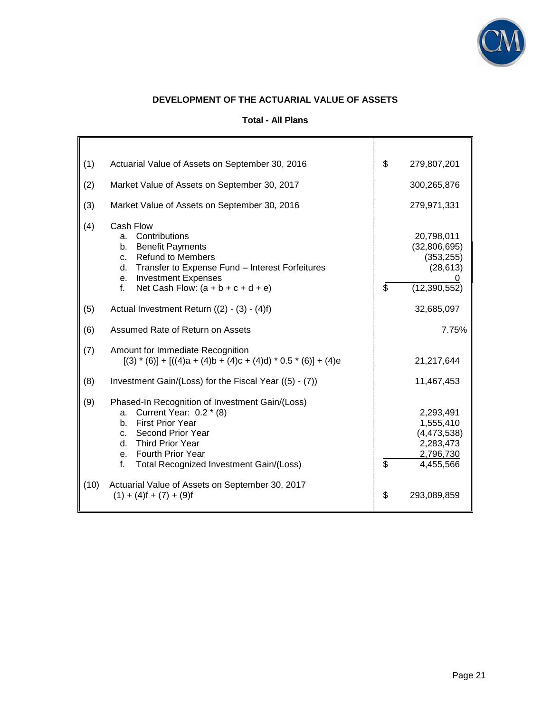

# **DEVELOPMENT OF THE ACTUARIAL VALUE OF ASSETS**

|  |  | Total - All Plans |
|--|--|-------------------|
|  |  |                   |

h.

| (1)  | Actuarial Value of Assets on September 30, 2016                                                                                                                                                                                           | \$<br>279,807,201                                                                  |
|------|-------------------------------------------------------------------------------------------------------------------------------------------------------------------------------------------------------------------------------------------|------------------------------------------------------------------------------------|
| (2)  | Market Value of Assets on September 30, 2017                                                                                                                                                                                              | 300,265,876                                                                        |
| (3)  | Market Value of Assets on September 30, 2016                                                                                                                                                                                              | 279,971,331                                                                        |
| (4)  | Cash Flow<br>Contributions<br>a <sub>z</sub><br><b>Benefit Payments</b><br>b.<br>c. Refund to Members<br>Transfer to Expense Fund - Interest Forfeitures<br>d.<br>e. Investment Expenses<br>f.<br>Net Cash Flow: $(a + b + c + d + e)$    | \$<br>20,798,011<br>(32,806,695)<br>(353, 255)<br>(28, 613)<br>(12, 390, 552)      |
| (5)  | Actual Investment Return ((2) - (3) - (4)f)                                                                                                                                                                                               | 32,685,097                                                                         |
| (6)  | Assumed Rate of Return on Assets                                                                                                                                                                                                          | 7.75%                                                                              |
| (7)  | Amount for Immediate Recognition<br>$[(3) * (6)] + [((4)a + (4)b + (4)c + (4)d) * 0.5 * (6)] + (4)e$                                                                                                                                      | 21,217,644                                                                         |
| (8)  | Investment Gain/(Loss) for the Fiscal Year ((5) - (7))                                                                                                                                                                                    | 11,467,453                                                                         |
| (9)  | Phased-In Recognition of Investment Gain/(Loss)<br>Current Year: 0.2 * (8)<br>a.<br><b>First Prior Year</b><br>b.<br>c. Second Prior Year<br>d. Third Prior Year<br>e. Fourth Prior Year<br>Total Recognized Investment Gain/(Loss)<br>f. | \$<br>2,293,491<br>1,555,410<br>(4,473,538)<br>2,283,473<br>2,796,730<br>4,455,566 |
| (10) | Actuarial Value of Assets on September 30, 2017<br>$(1) + (4) f + (7) + (9) f$                                                                                                                                                            | \$<br>293,089,859                                                                  |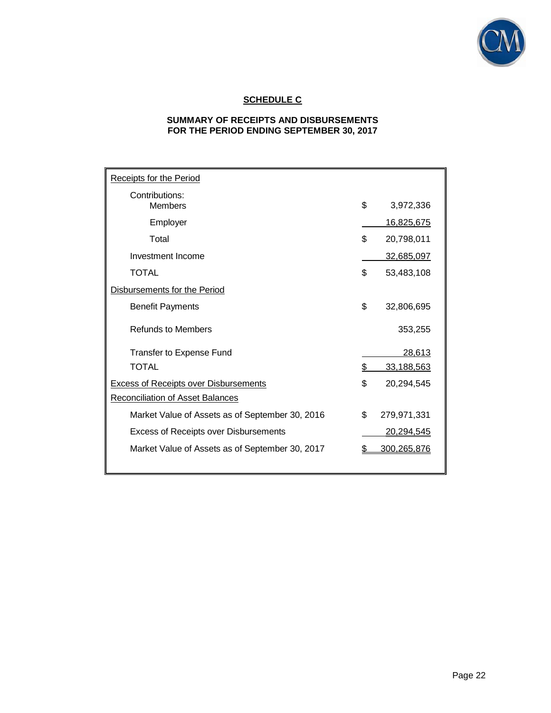

# **SCHEDULE C**

# **SUMMARY OF RECEIPTS AND DISBURSEMENTS FOR THE PERIOD ENDING SEPTEMBER 30, 2017**

| <b>Receipts for the Period</b>                  |    |                   |  |
|-------------------------------------------------|----|-------------------|--|
| Contributions:<br><b>Members</b>                | \$ | 3,972,336         |  |
| Employer                                        |    | <u>16,825,675</u> |  |
| Total                                           | \$ | 20,798,011        |  |
| Investment Income                               |    | 32,685,097        |  |
| <b>TOTAL</b>                                    | \$ | 53,483,108        |  |
| Disbursements for the Period                    |    |                   |  |
| <b>Benefit Payments</b>                         | \$ | 32,806,695        |  |
| <b>Refunds to Members</b>                       |    | 353,255           |  |
| <b>Transfer to Expense Fund</b>                 |    | 28,613            |  |
| <b>TOTAL</b>                                    | \$ | 33,188,563        |  |
| <b>Excess of Receipts over Disbursements</b>    | \$ | 20,294,545        |  |
| Reconciliation of Asset Balances                |    |                   |  |
| Market Value of Assets as of September 30, 2016 | \$ | 279,971,331       |  |
| Excess of Receipts over Disbursements           |    | <u>20,294,545</u> |  |
| Market Value of Assets as of September 30, 2017 |    | 300,265,876       |  |
|                                                 |    |                   |  |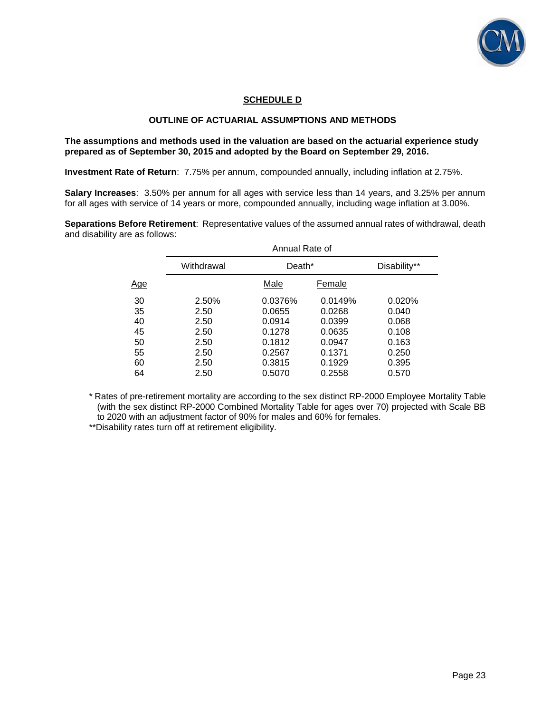

# **SCHEDULE D**

# **OUTLINE OF ACTUARIAL ASSUMPTIONS AND METHODS**

**The assumptions and methods used in the valuation are based on the actuarial experience study prepared as of September 30, 2015 and adopted by the Board on September 29, 2016.** 

**Investment Rate of Return**: 7.75% per annum, compounded annually, including inflation at 2.75%.

**Salary Increases**: 3.50% per annum for all ages with service less than 14 years, and 3.25% per annum for all ages with service of 14 years or more, compounded annually, including wage inflation at 3.00%.

**Separations Before Retirement**: Representative values of the assumed annual rates of withdrawal, death and disability are as follows:

| Withdrawal |         |         | Disability**             |
|------------|---------|---------|--------------------------|
|            | Male    | Female  |                          |
| 2.50%      | 0.0376% | 0.0149% | 0.020%                   |
| 2.50       | 0.0655  | 0.0268  | 0.040                    |
| 2.50       | 0.0914  | 0.0399  | 0.068                    |
| 2.50       | 0.1278  | 0.0635  | 0.108                    |
| 2.50       | 0.1812  | 0.0947  | 0.163                    |
| 2.50       | 0.2567  | 0.1371  | 0.250                    |
| 2.50       | 0.3815  | 0.1929  | 0.395                    |
| 2.50       | 0.5070  | 0.2558  | 0.570                    |
|            |         |         | Annual Rate of<br>Death* |

\* Rates of pre-retirement mortality are according to the sex distinct RP-2000 Employee Mortality Table (with the sex distinct RP-2000 Combined Mortality Table for ages over 70) projected with Scale BB to 2020 with an adjustment factor of 90% for males and 60% for females.

\*\*Disability rates turn off at retirement eligibility.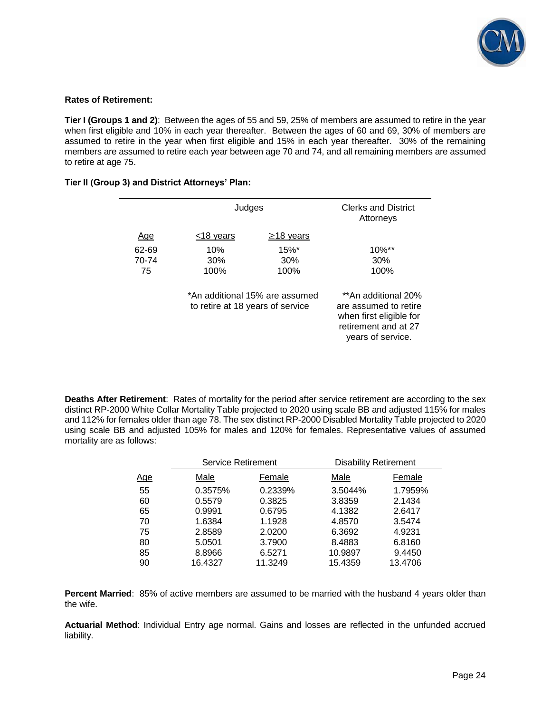

### **Rates of Retirement:**

**Tier I (Groups 1 and 2)**: Between the ages of 55 and 59, 25% of members are assumed to retire in the year when first eligible and 10% in each year thereafter. Between the ages of 60 and 69, 30% of members are assumed to retire in the year when first eligible and 15% in each year thereafter. 30% of the remaining members are assumed to retire each year between age 70 and 74, and all remaining members are assumed to retire at age 75.

|       | Judges                           |                                | <b>Clerks and District</b><br>Attorneys                                                                              |
|-------|----------------------------------|--------------------------------|----------------------------------------------------------------------------------------------------------------------|
| Age   | $<$ 18 years                     | $\geq$ 18 years                |                                                                                                                      |
| 62-69 | 10%                              | $15\%$ <sup>*</sup>            | $10\%$ **                                                                                                            |
| 70-74 | 30%                              | 30%                            | 30%                                                                                                                  |
| 75    | 100%                             | 100%                           | 100%                                                                                                                 |
|       | to retire at 18 years of service | *An additional 15% are assumed | **An additional 20%<br>are assumed to retire<br>when first eligible for<br>retirement and at 27<br>years of service. |

### **Tier II (Group 3) and District Attorneys' Plan:**

**Deaths After Retirement**: Rates of mortality for the period after service retirement are according to the sex distinct RP-2000 White Collar Mortality Table projected to 2020 using scale BB and adjusted 115% for males and 112% for females older than age 78. The sex distinct RP-2000 Disabled Mortality Table projected to 2020 using scale BB and adjusted 105% for males and 120% for females. Representative values of assumed mortality are as follows:

|            | <b>Service Retirement</b> |         | <b>Disability Retirement</b> |         |
|------------|---------------------------|---------|------------------------------|---------|
| <u>Age</u> | Male                      | Female  | Male                         | Female  |
| 55         | 0.3575%                   | 0.2339% | 3.5044%                      | 1.7959% |
| 60         | 0.5579                    | 0.3825  | 3.8359                       | 2.1434  |
| 65         | 0.9991                    | 0.6795  | 4.1382                       | 2.6417  |
| 70         | 1.6384                    | 1.1928  | 4.8570                       | 3.5474  |
| 75         | 2.8589                    | 2.0200  | 6.3692                       | 4.9231  |
| 80         | 5.0501                    | 3.7900  | 8.4883                       | 6.8160  |
| 85         | 8.8966                    | 6.5271  | 10.9897                      | 9.4450  |
| 90         | 16.4327                   | 11.3249 | 15.4359                      | 13.4706 |

**Percent Married**: 85% of active members are assumed to be married with the husband 4 years older than the wife.

**Actuarial Method**: Individual Entry age normal. Gains and losses are reflected in the unfunded accrued liability.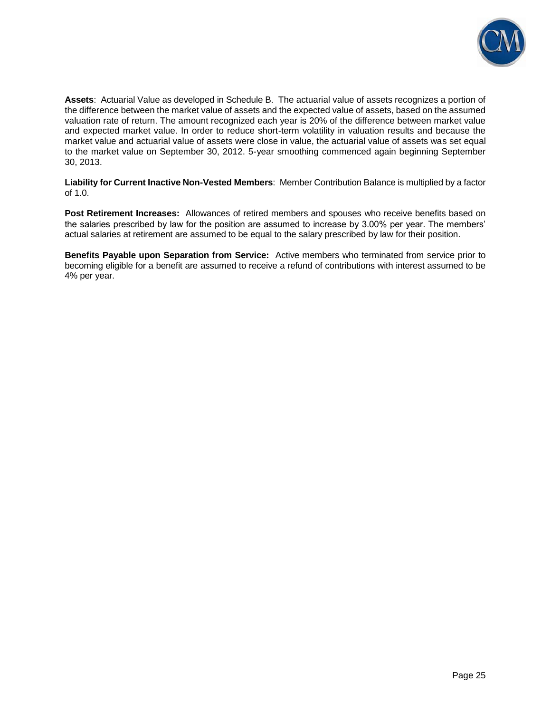

**Assets**: Actuarial Value as developed in Schedule B. The actuarial value of assets recognizes a portion of the difference between the market value of assets and the expected value of assets, based on the assumed valuation rate of return. The amount recognized each year is 20% of the difference between market value and expected market value. In order to reduce short-term volatility in valuation results and because the market value and actuarial value of assets were close in value, the actuarial value of assets was set equal to the market value on September 30, 2012. 5-year smoothing commenced again beginning September 30, 2013.

**Liability for Current Inactive Non-Vested Members**: Member Contribution Balance is multiplied by a factor of 1.0.

**Post Retirement Increases:** Allowances of retired members and spouses who receive benefits based on the salaries prescribed by law for the position are assumed to increase by 3.00% per year. The members' actual salaries at retirement are assumed to be equal to the salary prescribed by law for their position.

**Benefits Payable upon Separation from Service:** Active members who terminated from service prior to becoming eligible for a benefit are assumed to receive a refund of contributions with interest assumed to be 4% per year.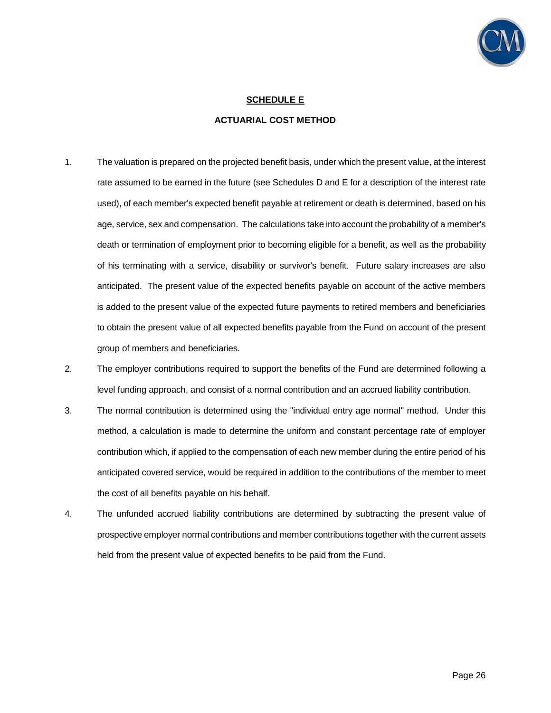

# **SCHEDULE E**

### **ACTUARIAL COST METHOD**

- 1. The valuation is prepared on the projected benefit basis, under which the present value, at the interest rate assumed to be earned in the future (see Schedules D and E for a description of the interest rate used), of each member's expected benefit payable at retirement or death is determined, based on his age, service, sex and compensation. The calculations take into account the probability of a member's death or termination of employment prior to becoming eligible for a benefit, as well as the probability of his terminating with a service, disability or survivor's benefit. Future salary increases are also anticipated. The present value of the expected benefits payable on account of the active members is added to the present value of the expected future payments to retired members and beneficiaries to obtain the present value of all expected benefits payable from the Fund on account of the present group of members and beneficiaries.
- 2. The employer contributions required to support the benefits of the Fund are determined following a level funding approach, and consist of a normal contribution and an accrued liability contribution.
- 3. The normal contribution is determined using the "individual entry age normal" method. Under this method, a calculation is made to determine the uniform and constant percentage rate of employer contribution which, if applied to the compensation of each new member during the entire period of his anticipated covered service, would be required in addition to the contributions of the member to meet the cost of all benefits payable on his behalf.
- 4. The unfunded accrued liability contributions are determined by subtracting the present value of prospective employer normal contributions and member contributions together with the current assets held from the present value of expected benefits to be paid from the Fund.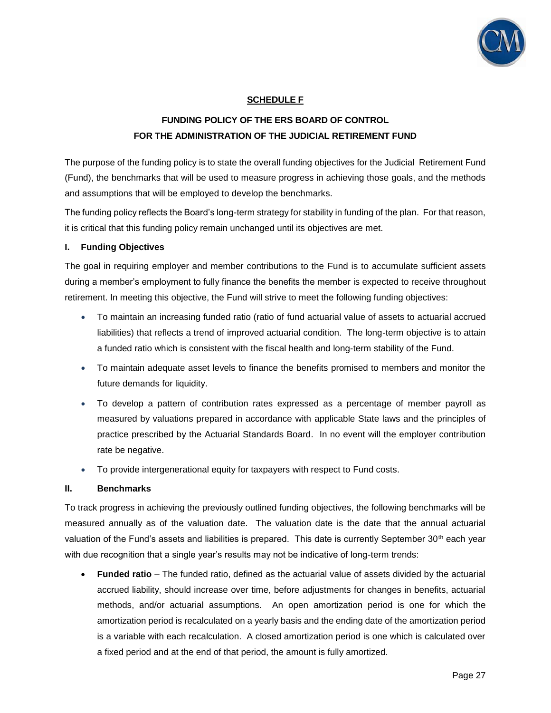

# **SCHEDULE F**

# **FUNDING POLICY OF THE ERS BOARD OF CONTROL FOR THE ADMINISTRATION OF THE JUDICIAL RETIREMENT FUND**

The purpose of the funding policy is to state the overall funding objectives for the Judicial Retirement Fund (Fund), the benchmarks that will be used to measure progress in achieving those goals, and the methods and assumptions that will be employed to develop the benchmarks.

The funding policy reflects the Board's long-term strategy for stability in funding of the plan. For that reason, it is critical that this funding policy remain unchanged until its objectives are met.

## **I. Funding Objectives**

The goal in requiring employer and member contributions to the Fund is to accumulate sufficient assets during a member's employment to fully finance the benefits the member is expected to receive throughout retirement. In meeting this objective, the Fund will strive to meet the following funding objectives:

- To maintain an increasing funded ratio (ratio of fund actuarial value of assets to actuarial accrued liabilities) that reflects a trend of improved actuarial condition. The long-term objective is to attain a funded ratio which is consistent with the fiscal health and long-term stability of the Fund.
- To maintain adequate asset levels to finance the benefits promised to members and monitor the future demands for liquidity.
- To develop a pattern of contribution rates expressed as a percentage of member payroll as measured by valuations prepared in accordance with applicable State laws and the principles of practice prescribed by the Actuarial Standards Board. In no event will the employer contribution rate be negative.
- To provide intergenerational equity for taxpayers with respect to Fund costs.

## **II. Benchmarks**

To track progress in achieving the previously outlined funding objectives, the following benchmarks will be measured annually as of the valuation date. The valuation date is the date that the annual actuarial valuation of the Fund's assets and liabilities is prepared. This date is currently September 30<sup>th</sup> each year with due recognition that a single year's results may not be indicative of long-term trends:

 **Funded ratio** – The funded ratio, defined as the actuarial value of assets divided by the actuarial accrued liability, should increase over time, before adjustments for changes in benefits, actuarial methods, and/or actuarial assumptions. An open amortization period is one for which the amortization period is recalculated on a yearly basis and the ending date of the amortization period is a variable with each recalculation. A closed amortization period is one which is calculated over a fixed period and at the end of that period, the amount is fully amortized.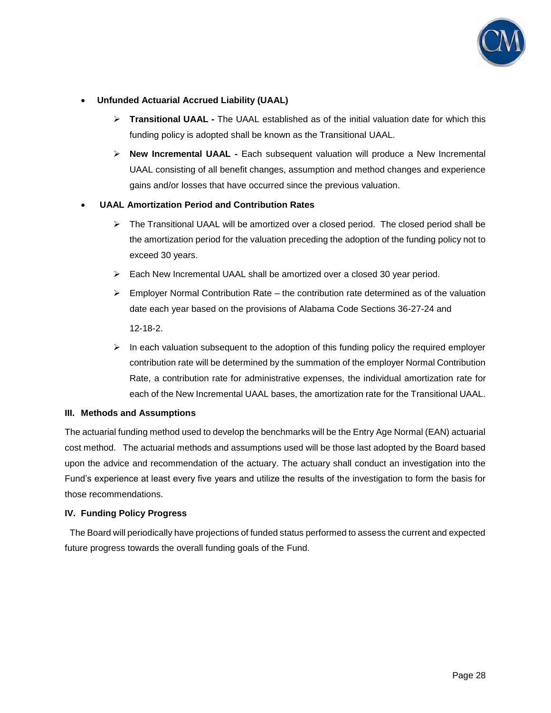

# **Unfunded Actuarial Accrued Liability (UAAL)**

- **Transitional UAAL -** The UAAL established as of the initial valuation date for which this funding policy is adopted shall be known as the Transitional UAAL.
- **New Incremental UAAL -** Each subsequent valuation will produce a New Incremental UAAL consisting of all benefit changes, assumption and method changes and experience gains and/or losses that have occurred since the previous valuation.

# **UAAL Amortization Period and Contribution Rates**

- $\triangleright$  The Transitional UAAL will be amortized over a closed period. The closed period shall be the amortization period for the valuation preceding the adoption of the funding policy not to exceed 30 years.
- Each New Incremental UAAL shall be amortized over a closed 30 year period.
- $\triangleright$  Employer Normal Contribution Rate the contribution rate determined as of the valuation date each year based on the provisions of Alabama Code Sections 36-27-24 and 12-18-2.
- $\triangleright$  In each valuation subsequent to the adoption of this funding policy the required employer contribution rate will be determined by the summation of the employer Normal Contribution Rate, a contribution rate for administrative expenses, the individual amortization rate for each of the New Incremental UAAL bases, the amortization rate for the Transitional UAAL.

## **III. Methods and Assumptions**

The actuarial funding method used to develop the benchmarks will be the Entry Age Normal (EAN) actuarial cost method. The actuarial methods and assumptions used will be those last adopted by the Board based upon the advice and recommendation of the actuary. The actuary shall conduct an investigation into the Fund's experience at least every five years and utilize the results of the investigation to form the basis for those recommendations.

## **IV. Funding Policy Progress**

 The Board will periodically have projections of funded status performed to assess the current and expected future progress towards the overall funding goals of the Fund.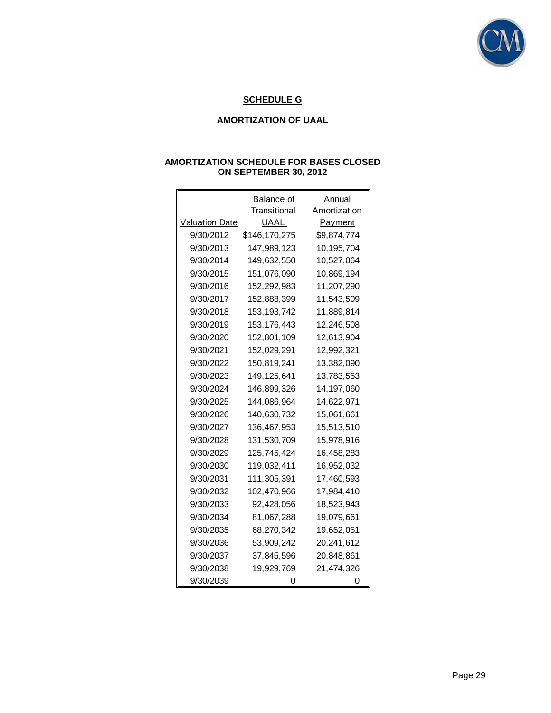

# **SCHEDULE G**

## **AMORTIZATION OF UAAL**

|                       | Balance of    | Annual         |
|-----------------------|---------------|----------------|
|                       | Transitional  | Amortization   |
| <b>Valuation Date</b> | UAAL          | <b>Payment</b> |
| 9/30/2012             | \$146,170,275 | \$9,874,774    |
| 9/30/2013             | 147,989,123   | 10,195,704     |
| 9/30/2014             | 149,632,550   | 10,527,064     |
| 9/30/2015             | 151,076,090   | 10,869,194     |
| 9/30/2016             | 152,292,983   | 11,207,290     |
| 9/30/2017             | 152,888,399   | 11,543,509     |
| 9/30/2018             | 153, 193, 742 | 11,889,814     |
| 9/30/2019             | 153, 176, 443 | 12,246,508     |
| 9/30/2020             | 152,801,109   | 12,613,904     |
| 9/30/2021             | 152,029,291   | 12,992,321     |
| 9/30/2022             | 150,819,241   | 13,382,090     |
| 9/30/2023             | 149, 125, 641 | 13,783,553     |
| 9/30/2024             | 146,899,326   | 14,197,060     |
| 9/30/2025             | 144,086,964   | 14,622,971     |
| 9/30/2026             | 140,630,732   | 15,061,661     |
| 9/30/2027             | 136,467,953   | 15,513,510     |
| 9/30/2028             | 131,530,709   | 15,978,916     |
| 9/30/2029             | 125,745,424   | 16,458,283     |
| 9/30/2030             | 119,032,411   | 16,952,032     |
| 9/30/2031             | 111,305,391   | 17,460,593     |
| 9/30/2032             | 102,470,966   | 17,984,410     |
| 9/30/2033             | 92,428,056    | 18,523,943     |
| 9/30/2034             | 81,067,288    | 19,079,661     |
| 9/30/2035             | 68,270,342    | 19,652,051     |
| 9/30/2036             | 53,909,242    | 20,241,612     |
| 9/30/2037             | 37,845,596    | 20,848,861     |
| 9/30/2038             | 19,929,769    | 21,474,326     |
| 9/30/2039             |               | O              |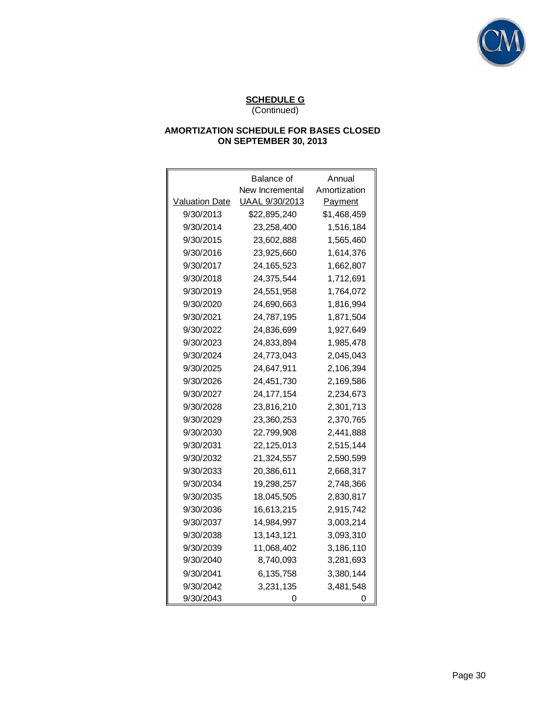

|                | Balance of      | Annual       |
|----------------|-----------------|--------------|
|                | New Incremental | Amortization |
| Valuation Date | UAAL 9/30/2013  | Payment      |
| 9/30/2013      | \$22,895,240    | \$1,468,459  |
| 9/30/2014      | 23,258,400      | 1,516,184    |
| 9/30/2015      | 23,602,888      | 1,565,460    |
| 9/30/2016      | 23,925,660      | 1,614,376    |
| 9/30/2017      | 24, 165, 523    | 1,662,807    |
| 9/30/2018      | 24,375,544      | 1,712,691    |
| 9/30/2019      | 24,551,958      | 1,764,072    |
| 9/30/2020      | 24,690,663      | 1,816,994    |
| 9/30/2021      | 24,787,195      | 1,871,504    |
| 9/30/2022      | 24,836,699      | 1,927,649    |
| 9/30/2023      | 24,833,894      | 1,985,478    |
| 9/30/2024      | 24,773,043      | 2,045,043    |
| 9/30/2025      | 24,647,911      | 2,106,394    |
| 9/30/2026      | 24,451,730      | 2,169,586    |
| 9/30/2027      | 24, 177, 154    | 2,234,673    |
| 9/30/2028      | 23,816,210      | 2,301,713    |
| 9/30/2029      | 23,360,253      | 2,370,765    |
| 9/30/2030      | 22,799,908      | 2,441,888    |
| 9/30/2031      | 22,125,013      | 2,515,144    |
| 9/30/2032      | 21,324,557      | 2,590,599    |
| 9/30/2033      | 20,386,611      | 2,668,317    |
| 9/30/2034      | 19,298,257      | 2,748,366    |
| 9/30/2035      | 18,045,505      | 2,830,817    |
| 9/30/2036      | 16,613,215      | 2,915,742    |
| 9/30/2037      | 14,984,997      | 3,003,214    |
| 9/30/2038      | 13, 143, 121    | 3,093,310    |
| 9/30/2039      | 11,068,402      | 3,186,110    |
| 9/30/2040      | 8,740,093       | 3,281,693    |
| 9/30/2041      | 6,135,758       | 3,380,144    |
| 9/30/2042      | 3,231,135       | 3,481,548    |
| 9/30/2043      | O)              | 0            |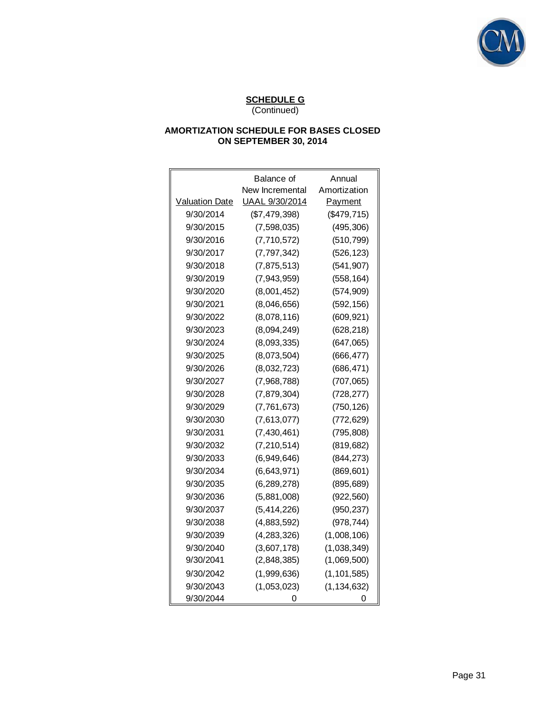

|                       | Balance of      | Annual        |
|-----------------------|-----------------|---------------|
|                       | New Incremental | Amortization  |
| <b>Valuation Date</b> | UAAL 9/30/2014  | Payment       |
| 9/30/2014             | (\$7,479,398)   | (\$479,715)   |
| 9/30/2015             | (7,598,035)     | (495, 306)    |
| 9/30/2016             | (7,710,572)     | (510, 799)    |
| 9/30/2017             | (7, 797, 342)   | (526, 123)    |
| 9/30/2018             | (7,875,513)     | (541, 907)    |
| 9/30/2019             | (7,943,959)     | (558, 164)    |
| 9/30/2020             | (8,001,452)     | (574, 909)    |
| 9/30/2021             | (8,046,656)     | (592, 156)    |
| 9/30/2022             | (8,078,116)     | (609, 921)    |
| 9/30/2023             | (8,094,249)     | (628, 218)    |
| 9/30/2024             | (8,093,335)     | (647, 065)    |
| 9/30/2025             | (8,073,504)     | (666, 477)    |
| 9/30/2026             | (8,032,723)     | (686, 471)    |
| 9/30/2027             | (7,968,788)     | (707, 065)    |
| 9/30/2028             | (7,879,304)     | (728, 277)    |
| 9/30/2029             | (7,761,673)     | (750, 126)    |
| 9/30/2030             | (7,613,077)     | (772, 629)    |
| 9/30/2031             | (7, 430, 461)   | (795, 808)    |
| 9/30/2032             | (7, 210, 514)   | (819, 682)    |
| 9/30/2033             | (6,949,646)     | (844, 273)    |
| 9/30/2034             | (6,643,971)     | (869, 601)    |
| 9/30/2035             | (6, 289, 278)   | (895, 689)    |
| 9/30/2036             | (5,881,008)     | (922, 560)    |
| 9/30/2037             | (5,414,226)     | (950, 237)    |
| 9/30/2038             | (4,883,592)     | (978, 744)    |
| 9/30/2039             | (4, 283, 326)   | (1,008,106)   |
| 9/30/2040             | (3,607,178)     | (1,038,349)   |
| 9/30/2041             | (2,848,385)     | (1,069,500)   |
| 9/30/2042             | (1,999,636)     | (1, 101, 585) |
| 9/30/2043             | (1,053,023)     | (1, 134, 632) |
| 9/30/2044             |                 | 0             |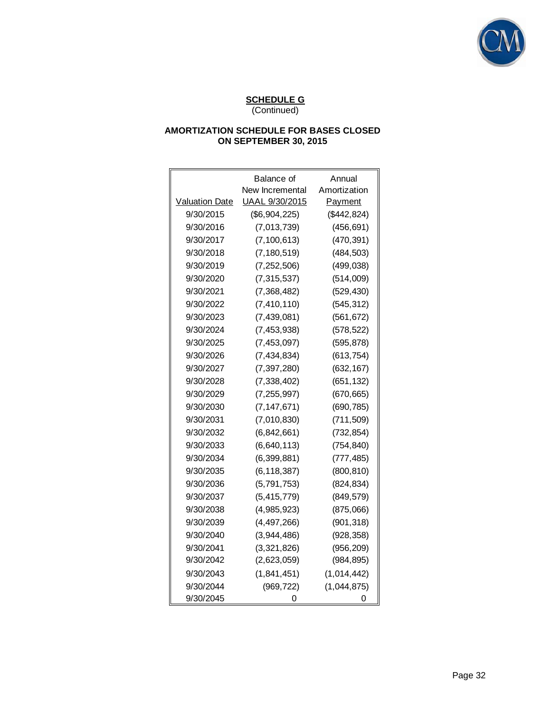

|                       | Balance of      | Annual       |
|-----------------------|-----------------|--------------|
|                       | New Incremental | Amortization |
| <b>Valuation Date</b> | UAAL 9/30/2015  | Payment      |
| 9/30/2015             | (\$6,904,225)   | (\$442, 824) |
| 9/30/2016             | (7,013,739)     | (456, 691)   |
| 9/30/2017             | (7, 100, 613)   | (470, 391)   |
| 9/30/2018             | (7, 180, 519)   | (484, 503)   |
| 9/30/2019             | (7, 252, 506)   | (499, 038)   |
| 9/30/2020             | (7, 315, 537)   | (514,009)    |
| 9/30/2021             | (7,368,482)     | (529, 430)   |
| 9/30/2022             | (7, 410, 110)   | (545, 312)   |
| 9/30/2023             | (7,439,081)     | (561, 672)   |
| 9/30/2024             | (7, 453, 938)   | (578, 522)   |
| 9/30/2025             | (7, 453, 097)   | (595, 878)   |
| 9/30/2026             | (7, 434, 834)   | (613, 754)   |
| 9/30/2027             | (7, 397, 280)   | (632, 167)   |
| 9/30/2028             | (7, 338, 402)   | (651, 132)   |
| 9/30/2029             | (7, 255, 997)   | (670, 665)   |
| 9/30/2030             | (7, 147, 671)   | (690, 785)   |
| 9/30/2031             | (7,010,830)     | (711, 509)   |
| 9/30/2032             | (6,842,661)     | (732, 854)   |
| 9/30/2033             | (6,640,113)     | (754, 840)   |
| 9/30/2034             | (6, 399, 881)   | (777, 485)   |
| 9/30/2035             | (6, 118, 387)   | (800, 810)   |
| 9/30/2036             | (5,791,753)     | (824, 834)   |
| 9/30/2037             | (5, 415, 779)   | (849, 579)   |
| 9/30/2038             | (4,985,923)     | (875,066)    |
| 9/30/2039             | (4, 497, 266)   | (901, 318)   |
| 9/30/2040             | (3,944,486)     | (928, 358)   |
| 9/30/2041             | (3,321,826)     | (956, 209)   |
| 9/30/2042             | (2,623,059)     | (984, 895)   |
| 9/30/2043             | (1,841,451)     | (1,014,442)  |
| 9/30/2044             | (969, 722)      | (1,044,875)  |
| 9/30/2045             | 0               | 0            |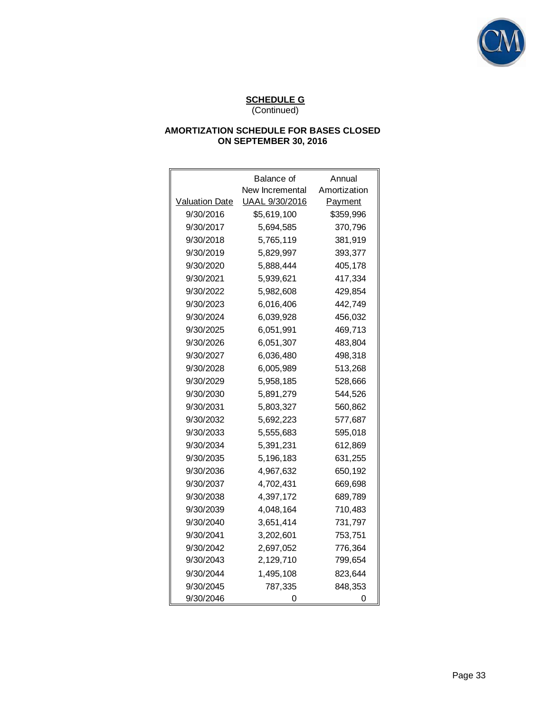

|                       | Balance of      | Annual       |
|-----------------------|-----------------|--------------|
|                       | New Incremental | Amortization |
| <b>Valuation Date</b> | UAAL 9/30/2016  | Payment      |
| 9/30/2016             | \$5,619,100     | \$359,996    |
| 9/30/2017             | 5,694,585       | 370,796      |
| 9/30/2018             | 5,765,119       | 381,919      |
| 9/30/2019             | 5.829.997       | 393,377      |
| 9/30/2020             | 5,888,444       | 405,178      |
| 9/30/2021             | 5,939,621       | 417,334      |
| 9/30/2022             | 5,982,608       | 429,854      |
| 9/30/2023             | 6,016,406       | 442,749      |
| 9/30/2024             | 6.039.928       | 456,032      |
| 9/30/2025             | 6,051,991       | 469,713      |
| 9/30/2026             | 6,051,307       | 483,804      |
| 9/30/2027             | 6,036,480       | 498,318      |
| 9/30/2028             | 6,005,989       | 513,268      |
| 9/30/2029             | 5,958,185       | 528,666      |
| 9/30/2030             | 5,891,279       | 544,526      |
| 9/30/2031             | 5,803,327       | 560,862      |
| 9/30/2032             | 5,692,223       | 577,687      |
| 9/30/2033             | 5,555,683       | 595,018      |
| 9/30/2034             | 5,391,231       | 612,869      |
| 9/30/2035             | 5,196,183       | 631,255      |
| 9/30/2036             | 4,967,632       | 650,192      |
| 9/30/2037             | 4,702,431       | 669,698      |
| 9/30/2038             | 4,397,172       | 689,789      |
| 9/30/2039             | 4,048,164       | 710,483      |
| 9/30/2040             | 3,651,414       | 731,797      |
| 9/30/2041             | 3,202,601       | 753,751      |
| 9/30/2042             | 2,697,052       | 776,364      |
| 9/30/2043             | 2,129,710       | 799,654      |
| 9/30/2044             | 1,495,108       | 823,644      |
| 9/30/2045             | 787,335         | 848,353      |
| 9/30/2046             | ი               | 0            |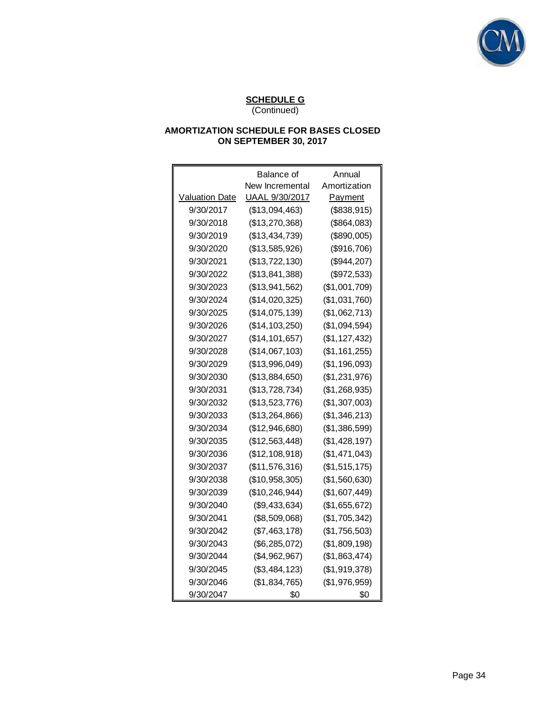

|                       | Balance of       | Annual          |
|-----------------------|------------------|-----------------|
|                       | New Incremental  | Amortization    |
| <b>Valuation Date</b> | UAAL 9/30/2017   | <b>Payment</b>  |
| 9/30/2017             | (\$13,094,463)   | (\$838,915)     |
| 9/30/2018             | (\$13,270,368)   | (\$864,083)     |
| 9/30/2019             | (\$13,434,739)   | (\$890,005)     |
| 9/30/2020             | (\$13,585,926)   | (\$916,706)     |
| 9/30/2021             | (\$13,722,130)   | (\$944, 207)    |
| 9/30/2022             | (\$13,841,388)   | (\$972,533)     |
| 9/30/2023             | (\$13,941,562)   | (\$1,001,709)   |
| 9/30/2024             | (\$14,020,325)   | (\$1,031,760)   |
| 9/30/2025             | (\$14,075,139)   | (\$1,062,713)   |
| 9/30/2026             | (\$14, 103, 250) | (\$1,094,594)   |
| 9/30/2027             | (\$14, 101, 657) | (\$1, 127, 432) |
| 9/30/2028             | (\$14,067,103)   | (\$1,161,255)   |
| 9/30/2029             | (\$13,996,049)   | (\$1,196,093)   |
| 9/30/2030             | (\$13,884,650)   | (\$1,231,976)   |
| 9/30/2031             | (\$13,728,734)   | (\$1,268,935)   |
| 9/30/2032             | (\$13,523,776)   | (\$1,307,003)   |
| 9/30/2033             | (\$13,264,866)   | (\$1,346,213)   |
| 9/30/2034             | (\$12,946,680)   | (\$1,386,599)   |
| 9/30/2035             | (\$12,563,448)   | (\$1,428,197)   |
| 9/30/2036             | (\$12,108,918)   | (\$1,471,043)   |
| 9/30/2037             | (\$11,576,316)   | (\$1,515,175)   |
| 9/30/2038             | (\$10,958,305)   | (\$1,560,630)   |
| 9/30/2039             | (\$10, 246, 944) | (\$1,607,449)   |
| 9/30/2040             | (\$9,433,634)    | (\$1,655,672)   |
| 9/30/2041             | (\$8,509,068)    | (\$1,705,342)   |
| 9/30/2042             | (\$7,463,178)    | (\$1,756,503)   |
| 9/30/2043             | (\$6,285,072)    | (\$1,809,198)   |
| 9/30/2044             | (\$4,962,967)    | (\$1,863,474)   |
| 9/30/2045             | (\$3,484,123)    | (\$1,919,378)   |
| 9/30/2046             | (\$1,834,765)    | (\$1,976,959)   |
| 9/30/2047             | \$0              | \$0             |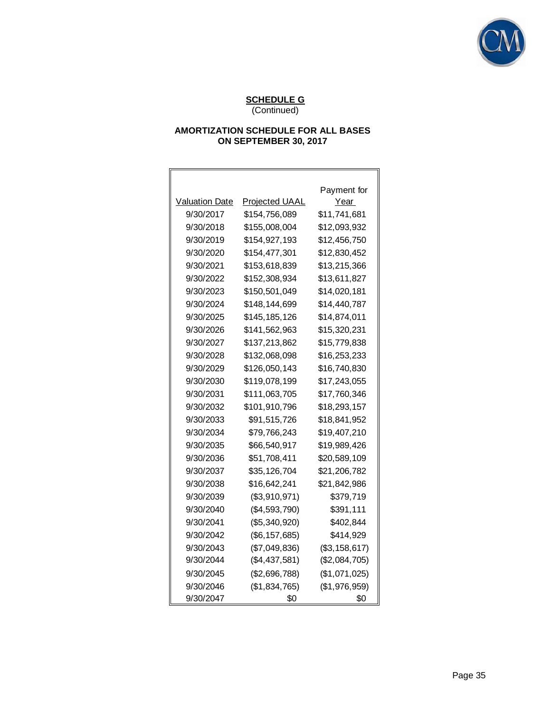

# **AMORTIZATION SCHEDULE FOR ALL BASES ON SEPTEMBER 30, 2017**

|                       |                       | Payment for   |
|-----------------------|-----------------------|---------------|
| <b>Valuation Date</b> | <b>Projected UAAL</b> | Year          |
| 9/30/2017             | \$154,756,089         | \$11,741,681  |
| 9/30/2018             | \$155,008,004         | \$12,093,932  |
| 9/30/2019             | \$154,927,193         | \$12,456,750  |
| 9/30/2020             | \$154,477,301         | \$12,830,452  |
| 9/30/2021             | \$153,618,839         | \$13,215,366  |
| 9/30/2022             | \$152,308,934         | \$13,611,827  |
| 9/30/2023             | \$150,501,049         | \$14,020,181  |
| 9/30/2024             | \$148,144,699         | \$14,440,787  |
| 9/30/2025             | \$145,185,126         | \$14,874,011  |
| 9/30/2026             | \$141,562,963         | \$15,320,231  |
| 9/30/2027             | \$137,213,862         | \$15,779,838  |
| 9/30/2028             | \$132,068,098         | \$16,253,233  |
| 9/30/2029             | \$126,050,143         | \$16,740,830  |
| 9/30/2030             | \$119,078,199         | \$17,243,055  |
| 9/30/2031             | \$111,063,705         | \$17,760,346  |
| 9/30/2032             | \$101,910,796         | \$18,293,157  |
| 9/30/2033             | \$91,515,726          | \$18,841,952  |
| 9/30/2034             | \$79,766,243          | \$19,407,210  |
| 9/30/2035             | \$66,540,917          | \$19,989,426  |
| 9/30/2036             | \$51,708,411          | \$20,589,109  |
| 9/30/2037             | \$35,126,704          | \$21,206,782  |
| 9/30/2038             | \$16,642,241          | \$21,842,986  |
| 9/30/2039             | (\$3,910,971)         | \$379,719     |
| 9/30/2040             | (\$4,593,790)         | \$391,111     |
| 9/30/2041             | (\$5,340,920)         | \$402,844     |
| 9/30/2042             | (\$6, 157, 685)       | \$414,929     |
| 9/30/2043             | (\$7,049,836)         | (\$3,158,617) |
| 9/30/2044             | $(\$4,437,581)$       | (\$2,084,705) |
| 9/30/2045             | (\$2,696,788)         | (\$1,071,025) |
| 9/30/2046             | (\$1,834,765)         | (\$1,976,959) |
| 9/30/2047             | \$0                   | \$0           |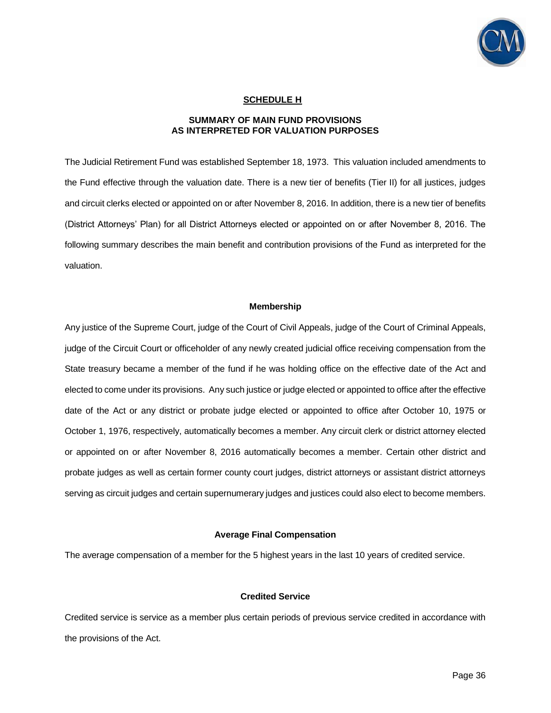

### **SCHEDULE H**

#### **SUMMARY OF MAIN FUND PROVISIONS AS INTERPRETED FOR VALUATION PURPOSES**

The Judicial Retirement Fund was established September 18, 1973. This valuation included amendments to the Fund effective through the valuation date. There is a new tier of benefits (Tier II) for all justices, judges and circuit clerks elected or appointed on or after November 8, 2016. In addition, there is a new tier of benefits (District Attorneys' Plan) for all District Attorneys elected or appointed on or after November 8, 2016. The following summary describes the main benefit and contribution provisions of the Fund as interpreted for the valuation.

#### **Membership**

Any justice of the Supreme Court, judge of the Court of Civil Appeals, judge of the Court of Criminal Appeals, judge of the Circuit Court or officeholder of any newly created judicial office receiving compensation from the State treasury became a member of the fund if he was holding office on the effective date of the Act and elected to come under its provisions. Any such justice or judge elected or appointed to office after the effective date of the Act or any district or probate judge elected or appointed to office after October 10, 1975 or October 1, 1976, respectively, automatically becomes a member. Any circuit clerk or district attorney elected or appointed on or after November 8, 2016 automatically becomes a member. Certain other district and probate judges as well as certain former county court judges, district attorneys or assistant district attorneys serving as circuit judges and certain supernumerary judges and justices could also elect to become members.

#### **Average Final Compensation**

The average compensation of a member for the 5 highest years in the last 10 years of credited service.

### **Credited Service**

Credited service is service as a member plus certain periods of previous service credited in accordance with the provisions of the Act.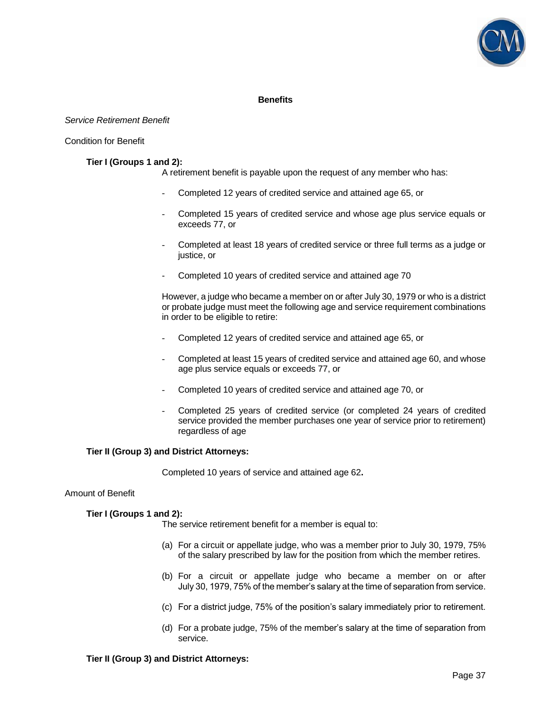

### **Benefits**

#### *Service Retirement Benefit*

#### Condition for Benefit

#### **Tier I (Groups 1 and 2):**

A retirement benefit is payable upon the request of any member who has:

- Completed 12 years of credited service and attained age 65, or
- Completed 15 years of credited service and whose age plus service equals or exceeds 77, or
- Completed at least 18 years of credited service or three full terms as a judge or justice, or
- Completed 10 years of credited service and attained age 70

However, a judge who became a member on or after July 30, 1979 or who is a district or probate judge must meet the following age and service requirement combinations in order to be eligible to retire:

- Completed 12 years of credited service and attained age 65, or
- Completed at least 15 years of credited service and attained age 60, and whose age plus service equals or exceeds 77, or
- Completed 10 years of credited service and attained age 70, or
- Completed 25 years of credited service (or completed 24 years of credited service provided the member purchases one year of service prior to retirement) regardless of age

### **Tier II (Group 3) and District Attorneys:**

Completed 10 years of service and attained age 62**.** 

#### Amount of Benefit

#### **Tier I (Groups 1 and 2):**

The service retirement benefit for a member is equal to:

- (a) For a circuit or appellate judge, who was a member prior to July 30, 1979, 75% of the salary prescribed by law for the position from which the member retires.
- (b) For a circuit or appellate judge who became a member on or after July 30, 1979, 75% of the member's salary at the time of separation from service.
- (c) For a district judge, 75% of the position's salary immediately prior to retirement.
- (d) For a probate judge, 75% of the member's salary at the time of separation from service.

#### **Tier II (Group 3) and District Attorneys:**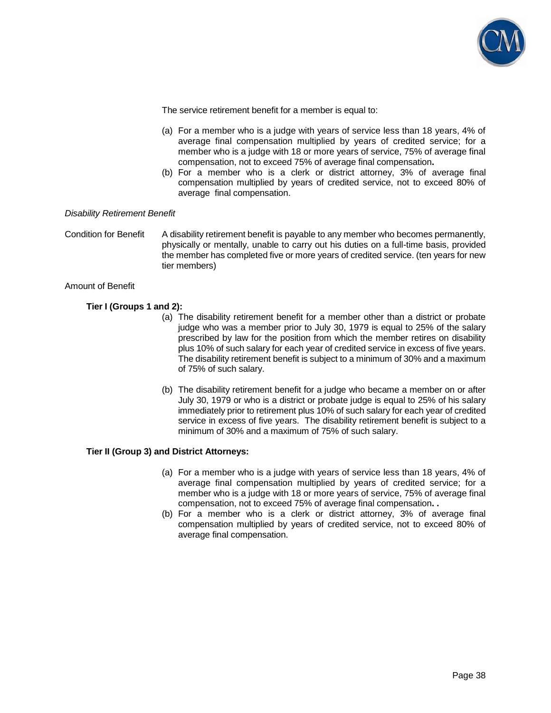

The service retirement benefit for a member is equal to:

- (a) For a member who is a judge with years of service less than 18 years, 4% of average final compensation multiplied by years of credited service; for a member who is a judge with 18 or more years of service, 75% of average final compensation, not to exceed 75% of average final compensation**.**
- (b) For a member who is a clerk or district attorney, 3% of average final compensation multiplied by years of credited service, not to exceed 80% of average final compensation.

### *Disability Retirement Benefit*

#### Condition for Benefit A disability retirement benefit is payable to any member who becomes permanently, physically or mentally, unable to carry out his duties on a full-time basis, provided the member has completed five or more years of credited service. (ten years for new tier members)

#### Amount of Benefit

### **Tier I (Groups 1 and 2):**

- (a) The disability retirement benefit for a member other than a district or probate judge who was a member prior to July 30, 1979 is equal to 25% of the salary prescribed by law for the position from which the member retires on disability plus 10% of such salary for each year of credited service in excess of five years. The disability retirement benefit is subject to a minimum of 30% and a maximum of 75% of such salary.
- (b) The disability retirement benefit for a judge who became a member on or after July 30, 1979 or who is a district or probate judge is equal to 25% of his salary immediately prior to retirement plus 10% of such salary for each year of credited service in excess of five years. The disability retirement benefit is subject to a minimum of 30% and a maximum of 75% of such salary.

### **Tier II (Group 3) and District Attorneys:**

- (a) For a member who is a judge with years of service less than 18 years, 4% of average final compensation multiplied by years of credited service; for a member who is a judge with 18 or more years of service, 75% of average final compensation, not to exceed 75% of average final compensation**. .**
- (b) For a member who is a clerk or district attorney, 3% of average final compensation multiplied by years of credited service, not to exceed 80% of average final compensation.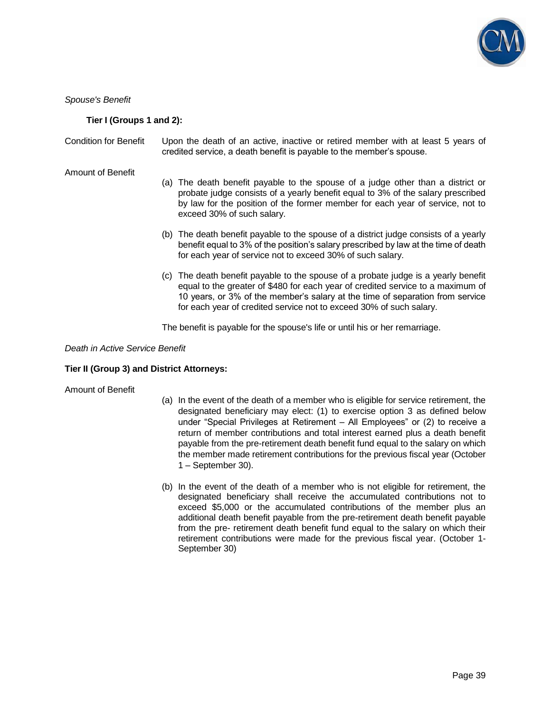

*Spouse's Benefit* 

### **Tier I (Groups 1 and 2):**

Condition for Benefit Upon the death of an active, inactive or retired member with at least 5 years of credited service, a death benefit is payable to the member's spouse.

Amount of Benefit

- (a) The death benefit payable to the spouse of a judge other than a district or probate judge consists of a yearly benefit equal to 3% of the salary prescribed by law for the position of the former member for each year of service, not to exceed 30% of such salary.
- (b) The death benefit payable to the spouse of a district judge consists of a yearly benefit equal to 3% of the position's salary prescribed by law at the time of death for each year of service not to exceed 30% of such salary.
- (c) The death benefit payable to the spouse of a probate judge is a yearly benefit equal to the greater of \$480 for each year of credited service to a maximum of 10 years, or 3% of the member's salary at the time of separation from service for each year of credited service not to exceed 30% of such salary.

The benefit is payable for the spouse's life or until his or her remarriage.

### *Death in Active Service Benefit*

#### **Tier II (Group 3) and District Attorneys:**

#### Amount of Benefit

- (a) In the event of the death of a member who is eligible for service retirement, the designated beneficiary may elect: (1) to exercise option 3 as defined below under "Special Privileges at Retirement – All Employees" or (2) to receive a return of member contributions and total interest earned plus a death benefit payable from the pre-retirement death benefit fund equal to the salary on which the member made retirement contributions for the previous fiscal year (October 1 – September 30).
- (b) In the event of the death of a member who is not eligible for retirement, the designated beneficiary shall receive the accumulated contributions not to exceed \$5,000 or the accumulated contributions of the member plus an additional death benefit payable from the pre-retirement death benefit payable from the pre- retirement death benefit fund equal to the salary on which their retirement contributions were made for the previous fiscal year. (October 1- September 30)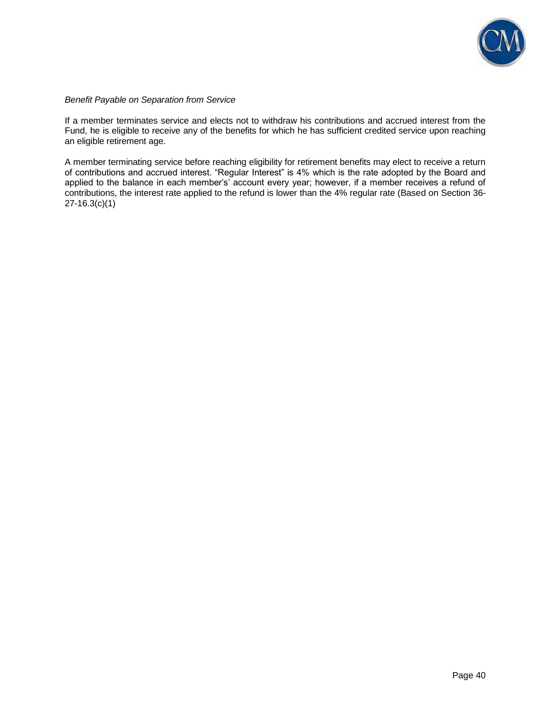

# *Benefit Payable on Separation from Service*

If a member terminates service and elects not to withdraw his contributions and accrued interest from the Fund, he is eligible to receive any of the benefits for which he has sufficient credited service upon reaching an eligible retirement age.

A member terminating service before reaching eligibility for retirement benefits may elect to receive a return of contributions and accrued interest. "Regular Interest" is 4% which is the rate adopted by the Board and applied to the balance in each member's' account every year; however, if a member receives a refund of contributions, the interest rate applied to the refund is lower than the 4% regular rate (Based on Section 36- 27-16.3(c)(1)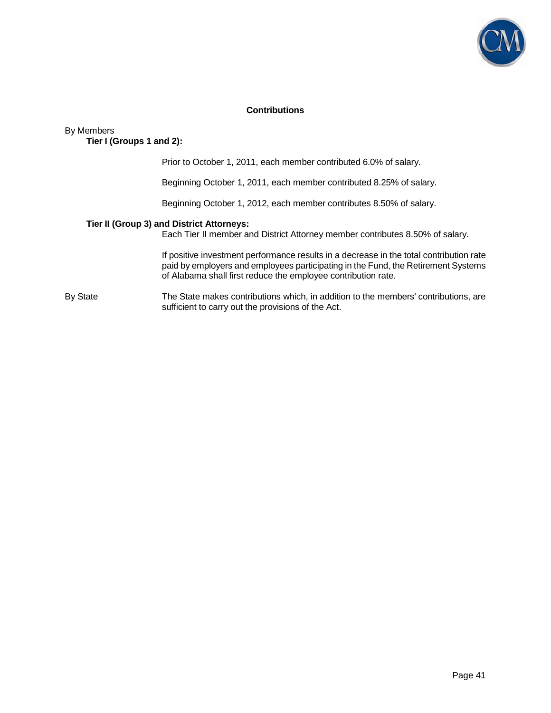

## **Contributions**

By Members

 **Tier I (Groups 1 and 2):** 

Prior to October 1, 2011, each member contributed 6.0% of salary.

Beginning October 1, 2011, each member contributed 8.25% of salary.

Beginning October 1, 2012, each member contributes 8.50% of salary.

#### **Tier II (Group 3) and District Attorneys:**

Each Tier II member and District Attorney member contributes 8.50% of salary.

 If positive investment performance results in a decrease in the total contribution rate paid by employers and employees participating in the Fund, the Retirement Systems of Alabama shall first reduce the employee contribution rate.

By State The State makes contributions which, in addition to the members' contributions, are sufficient to carry out the provisions of the Act.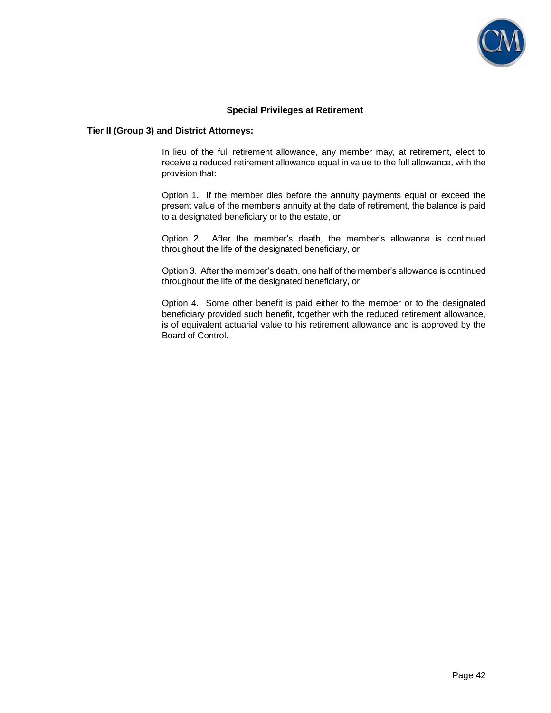

### **Special Privileges at Retirement**

#### **Tier II (Group 3) and District Attorneys:**

In lieu of the full retirement allowance, any member may, at retirement, elect to receive a reduced retirement allowance equal in value to the full allowance, with the provision that:

Option 1. If the member dies before the annuity payments equal or exceed the present value of the member's annuity at the date of retirement, the balance is paid to a designated beneficiary or to the estate, or

Option 2. After the member's death, the member's allowance is continued throughout the life of the designated beneficiary, or

Option 3. After the member's death, one half of the member's allowance is continued throughout the life of the designated beneficiary, or

Option 4. Some other benefit is paid either to the member or to the designated beneficiary provided such benefit, together with the reduced retirement allowance, is of equivalent actuarial value to his retirement allowance and is approved by the Board of Control.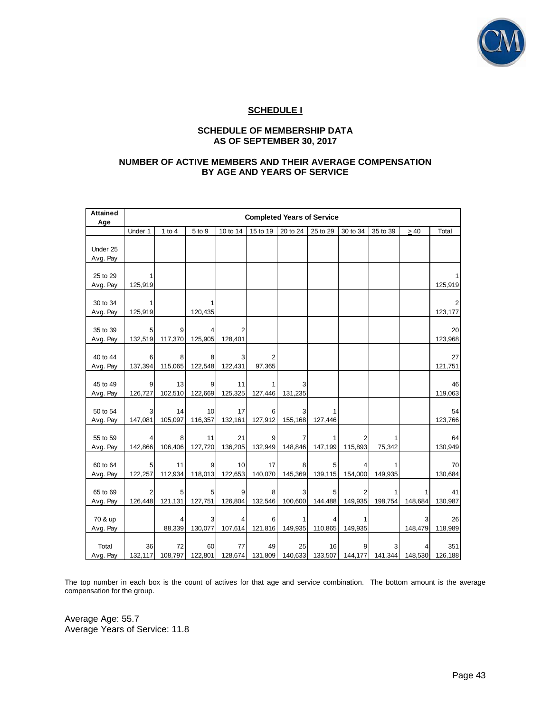

# **SCHEDULE I**

### **SCHEDULE OF MEMBERSHIP DATA AS OF SEPTEMBER 30, 2017**

### **NUMBER OF ACTIVE MEMBERS AND THEIR AVERAGE COMPENSATION BY AGE AND YEARS OF SERVICE**

| <b>Attained</b> | <b>Completed Years of Service</b> |               |               |                |                |          |          |                         |          |           |         |
|-----------------|-----------------------------------|---------------|---------------|----------------|----------------|----------|----------|-------------------------|----------|-----------|---------|
| Age             |                                   |               |               |                |                |          |          |                         |          |           |         |
|                 | Under 1                           | 1 to $4$      | 5 to 9        | 10 to 14       | 15 to 19       | 20 to 24 | 25 to 29 | 30 to 34                | 35 to 39 | $\geq 40$ | Total   |
|                 |                                   |               |               |                |                |          |          |                         |          |           |         |
| Under 25        |                                   |               |               |                |                |          |          |                         |          |           |         |
| Avg. Pay        |                                   |               |               |                |                |          |          |                         |          |           |         |
| 25 to 29        |                                   |               |               |                |                |          |          |                         |          |           |         |
| Avg. Pay        | 125,919                           |               |               |                |                |          |          |                         |          |           | 125,919 |
|                 |                                   |               |               |                |                |          |          |                         |          |           |         |
| 30 to 34        |                                   |               | 1             |                |                |          |          |                         |          |           |         |
| Avg. Pay        | 125,919                           |               | 120,435       |                |                |          |          |                         |          |           | 123,177 |
|                 |                                   |               |               |                |                |          |          |                         |          |           |         |
| 35 to 39        | 5                                 | 9             |               | $\overline{2}$ |                |          |          |                         |          |           | 20      |
| Avg. Pay        | 132,519                           | 117,370       | 125,905       | 128,401        |                |          |          |                         |          |           | 123,968 |
|                 |                                   |               |               |                |                |          |          |                         |          |           |         |
| 40 to 44        | 6                                 | 8             | 8             | 3              | $\overline{2}$ |          |          |                         |          |           | 27      |
| Avg. Pay        | 137,394                           | 115,065       | 122,548       | 122,431        | 97,365         |          |          |                         |          |           | 121,751 |
|                 |                                   |               |               |                |                |          |          |                         |          |           |         |
| 45 to 49        |                                   | 13            | 9             | 11             |                |          |          |                         |          |           | 46      |
| Avg. Pay        | 126,727                           | 102,510       | 122,669       | 125,325        | 127,446        | 131,235  |          |                         |          |           | 119,063 |
|                 |                                   |               |               |                |                |          |          |                         |          |           |         |
| 50 to 54        | 147,081                           | 14<br>105,097 | 10<br>116,357 | 17<br>132,161  | 6<br>127,912   |          | 127,446  |                         |          |           | 54      |
| Avg. Pay        |                                   |               |               |                |                | 155,168  |          |                         |          |           | 123,766 |
| 55 to 59        |                                   | 8             | 11            | 21             | 9              | 7        |          | 2                       |          |           | 64      |
| Avg. Pay        | 142,866                           | 106,406       | 127,720       | 136,205        | 132,949        | 148,846  | 147,199  | 115,893                 | 75,342   |           | 130,949 |
|                 |                                   |               |               |                |                |          |          |                         |          |           |         |
| 60 to 64        | 5                                 | 11            | 9             | 10             | 17             | 8        | 5        | 4                       |          |           | 70      |
| Avg. Pay        | 122,257                           | 112,934       | 118,013       | 122,653        | 140,070        | 145,369  | 139,115  | 154,000                 | 149,935  |           | 130,684 |
|                 |                                   |               |               |                |                |          |          |                         |          |           |         |
| 65 to 69        | 2                                 | 5             | 5             | 9              | 8              | 3        | 5        | 2                       | 1        | 1         | 41      |
| Avg. Pay        | 126,448                           | 121,131       | 127,751       | 126,804        | 132,546        | 100,600  | 144,488  | 149,935                 | 198,754  | 148,684   | 130,987 |
|                 |                                   |               |               |                |                |          |          |                         |          |           |         |
| 70 & up         |                                   | 4             | 3             | 4              | 6              |          | 4        | 1                       |          | 3         | 26      |
| Avg. Pay        |                                   | 88,339        | 130,077       | 107,614        | 121,816        | 149,935  | 110,865  | 149,935                 |          | 148,479   | 118,989 |
|                 |                                   |               |               |                |                |          |          |                         |          |           |         |
| Total           | 36                                | 72            | 60            | 77             | 49             | 25       | 16       | 9                       |          |           | 351     |
| Avg. Pay        | 132,117                           | 108,797       | 122,801       | 128,674        | 131,809        |          |          | 140,633 133,507 144,177 | 141,344  | 148,530   | 126,188 |

The top number in each box is the count of actives for that age and service combination. The bottom amount is the average compensation for the group.

Average Age: 55.7 Average Years of Service: 11.8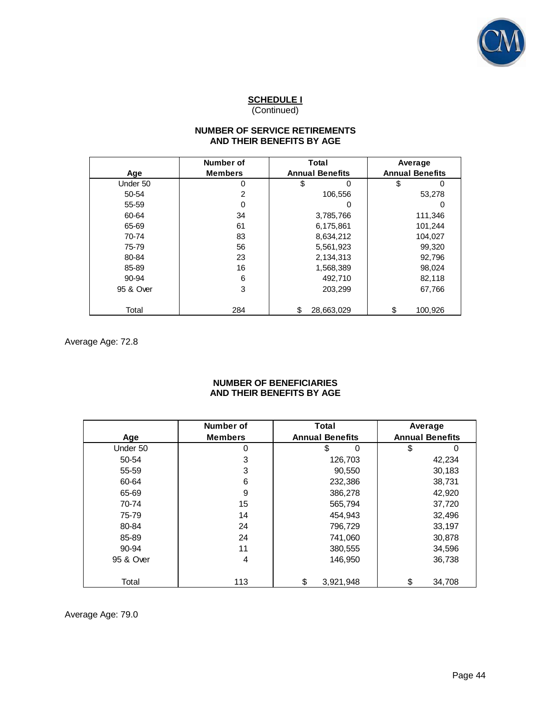

# **NUMBER OF SERVICE RETIREMENTS AND THEIR BENEFITS BY AGE**

|           | Number of      | Total                  | Average                |  |
|-----------|----------------|------------------------|------------------------|--|
| Age       | <b>Members</b> | <b>Annual Benefits</b> | <b>Annual Benefits</b> |  |
| Under 50  | 0              | \$<br>0                | \$                     |  |
| 50-54     | $\overline{2}$ | 106,556                | 53,278                 |  |
| 55-59     | 0              |                        |                        |  |
| 60-64     | 34             | 3,785,766              | 111,346                |  |
| 65-69     | 61             | 6,175,861              | 101,244                |  |
| 70-74     | 83             | 8,634,212              | 104,027                |  |
| 75-79     | 56             | 5,561,923              | 99,320                 |  |
| 80-84     | 23             | 2,134,313              | 92,796                 |  |
| 85-89     | 16             | 1,568,389              | 98,024                 |  |
| 90-94     | 6              | 492,710                | 82,118                 |  |
| 95 & Over | 3              | 203,299                | 67,766                 |  |
| Total     | 284            | 28,663,029<br>\$       | \$<br>100,926          |  |

Average Age: 72.8

### **NUMBER OF BENEFICIARIES AND THEIR BENEFITS BY AGE**

|           | Number of      | <b>Total</b>           | Average                |  |  |
|-----------|----------------|------------------------|------------------------|--|--|
| Age       | <b>Members</b> | <b>Annual Benefits</b> | <b>Annual Benefits</b> |  |  |
| Under 50  | 0              | \$<br>$\Omega$         | \$<br>ი                |  |  |
| 50-54     | 3              | 126,703                | 42,234                 |  |  |
| 55-59     | 3              | 90,550                 | 30,183                 |  |  |
| 60-64     | 6              | 232,386                | 38,731                 |  |  |
| 65-69     | 9              | 386,278                | 42,920                 |  |  |
| 70-74     | 15             | 565,794                | 37,720                 |  |  |
| 75-79     | 14             | 454,943                | 32,496                 |  |  |
| 80-84     | 24             | 796,729                | 33,197                 |  |  |
| 85-89     | 24             | 741,060                | 30,878                 |  |  |
| 90-94     | 11             | 380,555                | 34,596                 |  |  |
| 95 & Over | 4              | 146.950                | 36,738                 |  |  |

Average Age: 79.0